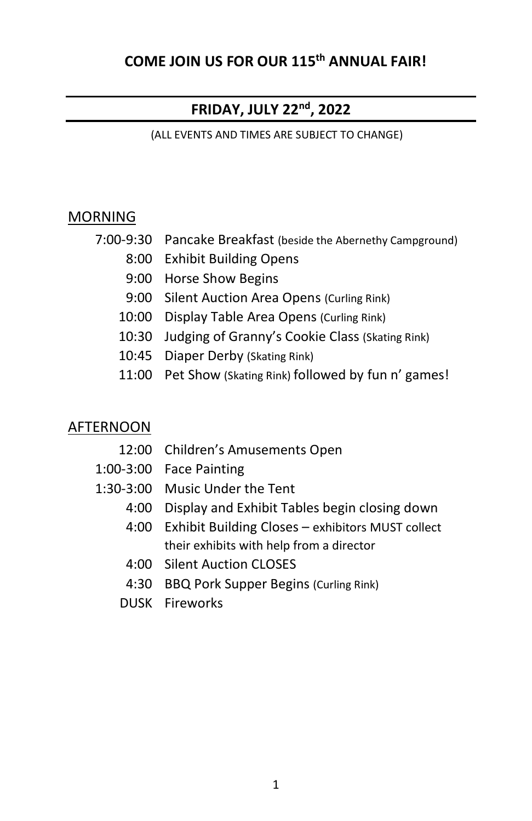# **COME JOIN US FOR OUR 115 th ANNUAL FAIR!**

# **FRIDAY, JULY 22nd, 2022**

(ALL EVENTS AND TIMES ARE SUBJECT TO CHANGE)

#### **MORNING**

- 7:00-9:30 Pancake Breakfast (beside the Abernethy Campground)
	- 8:00 Exhibit Building Opens
	- 9:00 Horse Show Begins
	- 9:00 Silent Auction Area Opens (Curling Rink)
	- 10:00 Display Table Area Opens (Curling Rink)
	- 10:30 Judging of Granny's Cookie Class (Skating Rink)
	- 10:45 Diaper Derby (Skating Rink)
	- 11:00 Pet Show (Skating Rink) followed by fun n' games!

## AFTERNOON

- 12:00 Children's Amusements Open
- 1:00-3:00 Face Painting
- 1:30-3:00 Music Under the Tent
	- 4:00 Display and Exhibit Tables begin closing down
	- 4:00 Exhibit Building Closes exhibitors MUST collect their exhibits with help from a director
	- 4:00 Silent Auction CLOSES
	- 4:30 BBQ Pork Supper Begins (Curling Rink)
	- DUSK Fireworks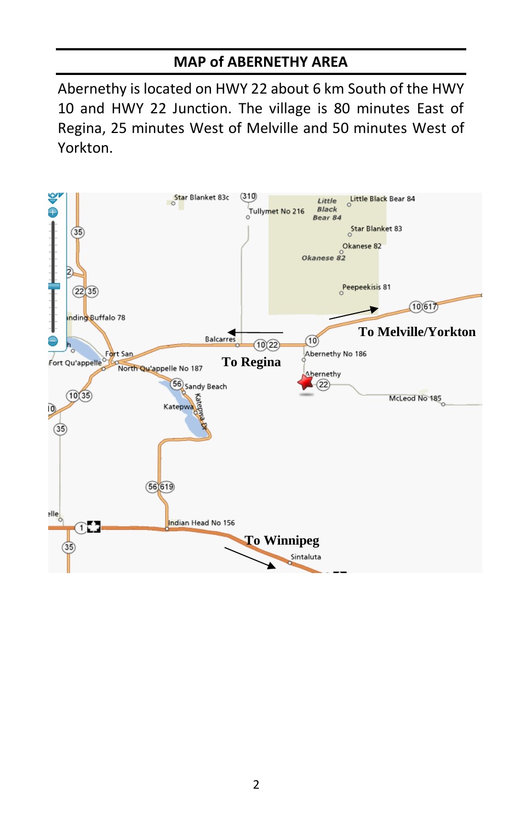# **MAP of ABERNETHY AREA**

Abernethy is located on HWY 22 about 6 km South of the HWY 10 and HWY 22 Junction. The village is 80 minutes East of Regina, 25 minutes West of Melville and 50 minutes West of Yorkton.

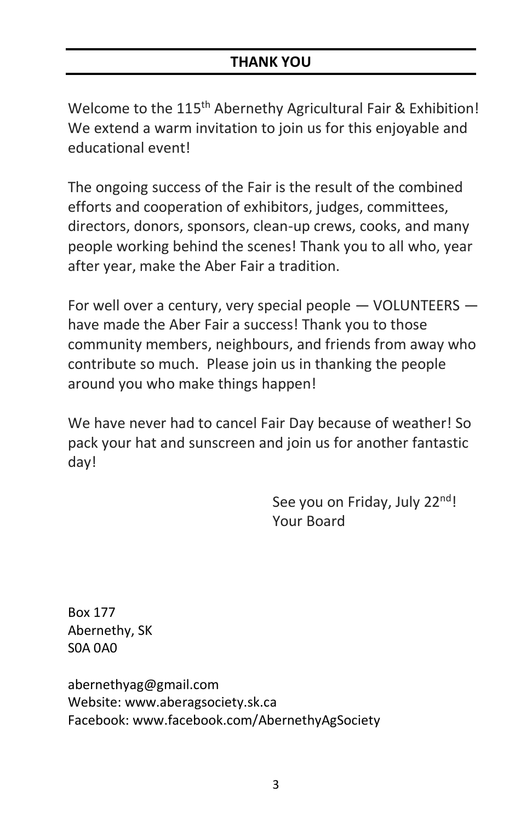# **THANK YOU**

Welcome to the 115<sup>th</sup> Abernethy Agricultural Fair & Exhibition! We extend a warm invitation to join us for this enjoyable and educational event!

The ongoing success of the Fair is the result of the combined efforts and cooperation of exhibitors, judges, committees, directors, donors, sponsors, clean-up crews, cooks, and many people working behind the scenes! Thank you to all who, year after year, make the Aber Fair a tradition.

For well over a century, very special people — VOLUNTEERS have made the Aber Fair a success! Thank you to those community members, neighbours, and friends from away who contribute so much. Please join us in thanking the people around you who make things happen!

We have never had to cancel Fair Day because of weather! So pack your hat and sunscreen and join us for another fantastic day!

> See you on Friday, July 22<sup>nd</sup>! Your Board

Box 177 Abernethy, SK S0A 0A0

abernethyag@gmail.com Website: www.aberagsociety.sk.ca Facebook: www.facebook.com/AbernethyAgSociety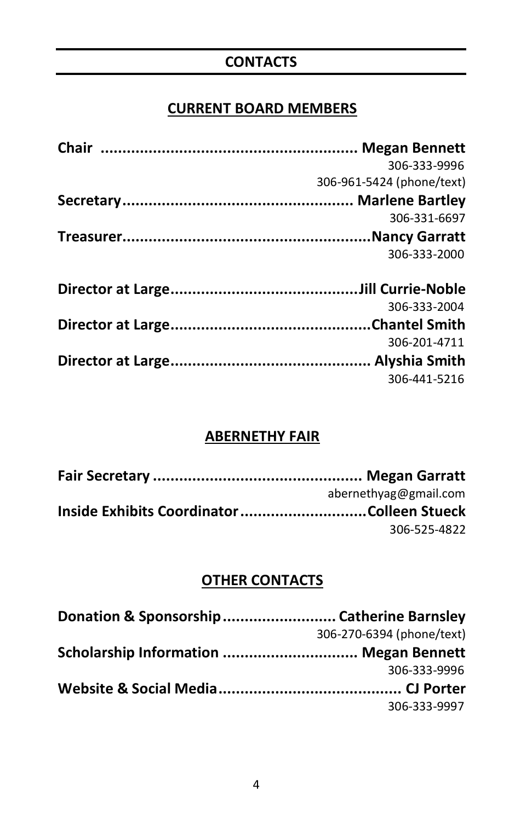# **CONTACTS**

# **CURRENT BOARD MEMBERS**

| 306-333-9996              |
|---------------------------|
| 306-961-5424 (phone/text) |
|                           |
| 306-331-6697              |
|                           |
| 306-333-2000              |
|                           |
|                           |
| 306-333-2004              |
|                           |
| 306-201-4711              |
|                           |
| 306-441-5216              |

# **ABERNETHY FAIR**

| abernethyag@gmail.com |
|-----------------------|
|                       |
| 306-525-4822          |
|                       |

# **OTHER CONTACTS**

|                                        | 306-270-6394 (phone/text) |
|----------------------------------------|---------------------------|
| Scholarship Information  Megan Bennett |                           |
|                                        | 306-333-9996              |
|                                        |                           |
|                                        | 306-333-9997              |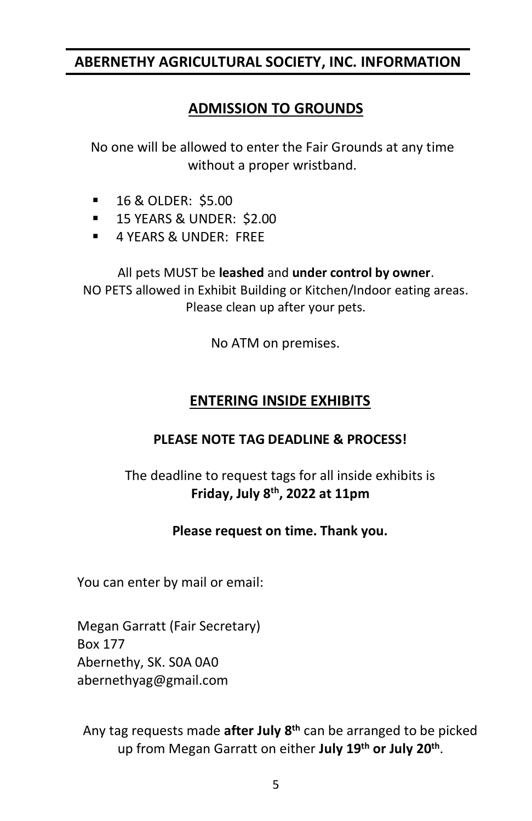# **ABERNETHY AGRICULTURAL SOCIETY, INC. INFORMATION**

# **ADMISSION TO GROUNDS**

No one will be allowed to enter the Fair Grounds at any time without a proper wristband.

- 16 & OLDER: \$5.00
- **15 YEARS & UNDER: \$2.00**
- **4 YEARS & UNDER: FREE**

All pets MUST be **leashed** and **under control by owner**. NO PETS allowed in Exhibit Building or Kitchen/Indoor eating areas. Please clean up after your pets.

No ATM on premises.

# **ENTERING INSIDE EXHIBITS**

#### **PLEASE NOTE TAG DEADLINE & PROCESS!**

# The deadline to request tags for all inside exhibits is **Friday, July 8th, 2022 at 11pm**

#### **Please request on time. Thank you.**

You can enter by mail or email:

Megan Garratt (Fair Secretary) Box 177 Abernethy, SK. S0A 0A0 abernethyag@gmail.com

Any tag requests made **after July 8 th** can be arranged to be picked up from Megan Garratt on either **July 19th or July 20 th** .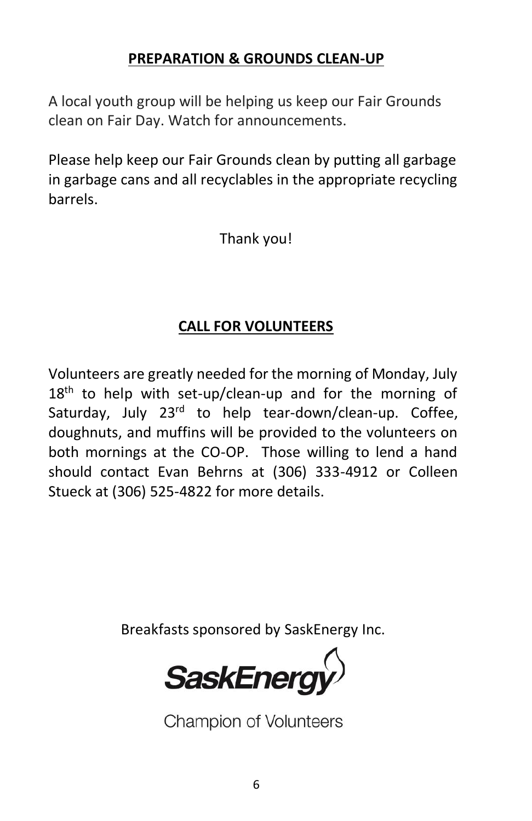# **PREPARATION & GROUNDS CLEAN-UP**

A local youth group will be helping us keep our Fair Grounds clean on Fair Day. Watch for announcements.

Please help keep our Fair Grounds clean by putting all garbage in garbage cans and all recyclables in the appropriate recycling barrels.

Thank you!

# **CALL FOR VOLUNTEERS**

Volunteers are greatly needed for the morning of Monday, July  $18<sup>th</sup>$  to help with set-up/clean-up and for the morning of Saturday, July 23<sup>rd</sup> to help tear-down/clean-up. Coffee, doughnuts, and muffins will be provided to the volunteers on both mornings at the CO-OP. Those willing to lend a hand should contact Evan Behrns at (306) 333-4912 or Colleen Stueck at (306) 525-4822 for more details.

Breakfasts sponsored by SaskEnergy Inc.

**SaskEnergy** 

**Champion of Volunteers**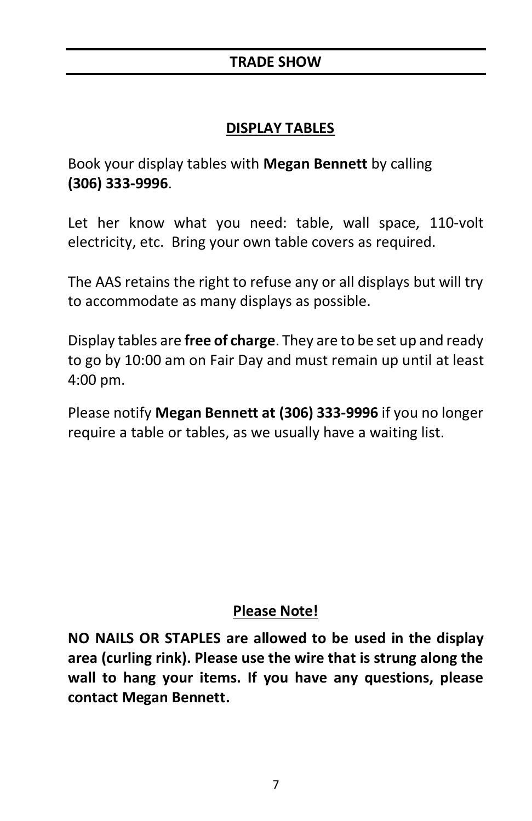# **DISPLAY TABLES**

Book your display tables with **Megan Bennett** by calling **(306) 333-9996**.

Let her know what you need: table, wall space, 110-volt electricity, etc. Bring your own table covers as required.

The AAS retains the right to refuse any or all displays but will try to accommodate as many displays as possible.

Display tables are **free of charge**. They are to be set up and ready to go by 10:00 am on Fair Day and must remain up until at least 4:00 pm.

Please notify **Megan Bennett at (306) 333-9996** if you no longer require a table or tables, as we usually have a waiting list.

# **Please Note!**

**NO NAILS OR STAPLES are allowed to be used in the display area (curling rink). Please use the wire that is strung along the wall to hang your items. If you have any questions, please contact Megan Bennett.**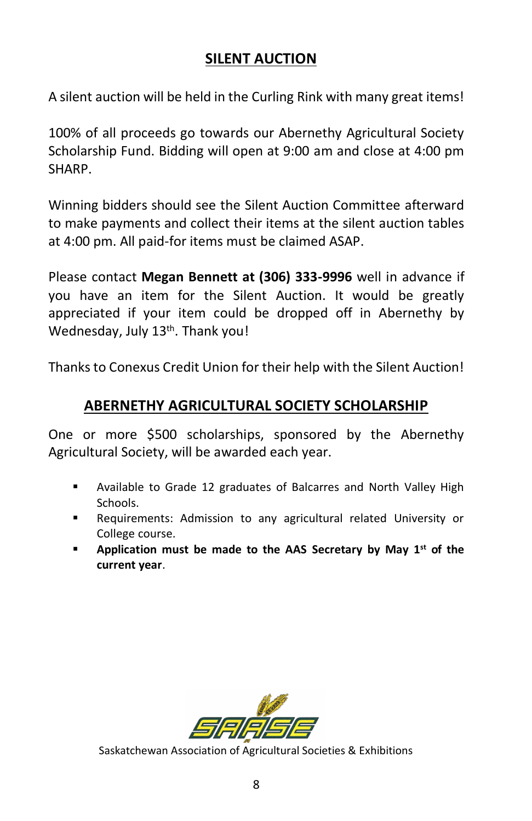# **SILENT AUCTION**

A silent auction will be held in the Curling Rink with many great items!

100% of all proceeds go towards our Abernethy Agricultural Society Scholarship Fund. Bidding will open at 9:00 am and close at 4:00 pm SHARP.

Winning bidders should see the Silent Auction Committee afterward to make payments and collect their items at the silent auction tables at 4:00 pm. All paid-for items must be claimed ASAP.

Please contact **Megan Bennett at (306) 333-9996** well in advance if you have an item for the Silent Auction. It would be greatly appreciated if your item could be dropped off in Abernethy by Wednesday, July 13<sup>th</sup>. Thank you!

Thanks to Conexus Credit Union for their help with the Silent Auction!

# **ABERNETHY AGRICULTURAL SOCIETY SCHOLARSHIP**

One or more \$500 scholarships, sponsored by the Abernethy Agricultural Society, will be awarded each year.

- Available to Grade 12 graduates of Balcarres and North Valley High Schools.
- Requirements: Admission to any agricultural related University or College course.
- **Application must be made to the AAS Secretary by May 1st of the current year**.



Saskatchewan Association of Agricultural Societies & Exhibitions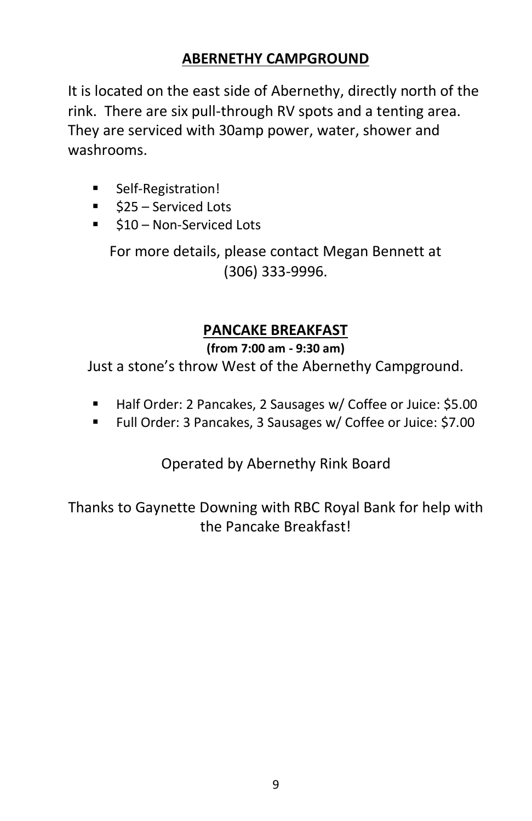# **ABERNETHY CAMPGROUND**

It is located on the east side of Abernethy, directly north of the rink. There are six pull-through RV spots and a tenting area. They are serviced with 30amp power, water, shower and washrooms.

- Self-Registration!
- \$25 Serviced Lots
- \$10 Non-Serviced Lots

For more details, please contact Megan Bennett at (306) 333-9996.

# **PANCAKE BREAKFAST**

# **(from 7:00 am - 9:30 am)**

Just a stone's throw West of the Abernethy Campground.

- Half Order: 2 Pancakes, 2 Sausages w/ Coffee or Juice: \$5.00
- Full Order: 3 Pancakes, 3 Sausages w/ Coffee or Juice: \$7.00

Operated by Abernethy Rink Board

Thanks to Gaynette Downing with RBC Royal Bank for help with the Pancake Breakfast!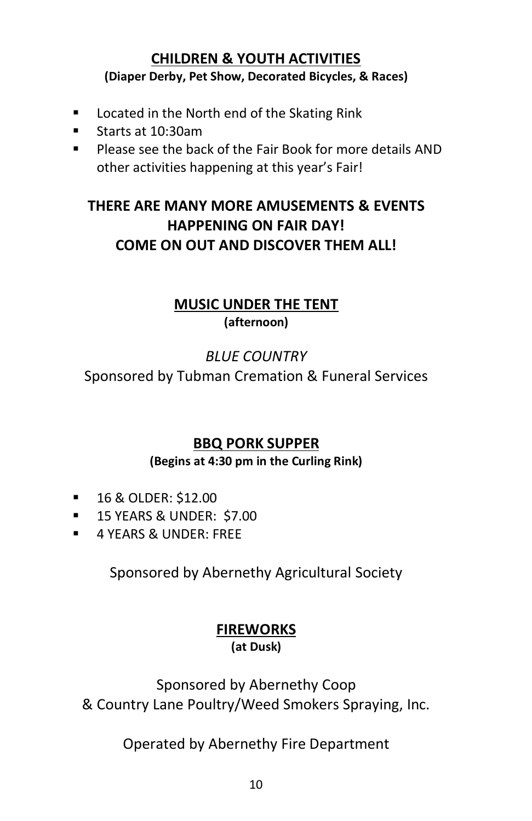# **CHILDREN & YOUTH ACTIVITIES (Diaper Derby, Pet Show, Decorated Bicycles, & Races)**

- Located in the North end of the Skating Rink
- Starts at 10:30am
- Please see the back of the Fair Book for more details AND other activities happening at this year's Fair!

# **THERE ARE MANY MORE AMUSEMENTS & EVENTS HAPPENING ON FAIR DAY! COME ON OUT AND DISCOVER THEM ALL!**

# **MUSIC UNDER THE TENT (afternoon)**

# *BLUE COUNTRY*

Sponsored by Tubman Cremation & Funeral Services

# **BBQ PORK SUPPER**

# **(Begins at 4:30 pm in the Curling Rink)**

- 16 & OLDER: \$12.00
- 15 YEARS & UNDER: \$7.00
- **4 YEARS & UNDER: FREE**

Sponsored by Abernethy Agricultural Society

# **FIREWORKS**

**(at Dusk)**

Sponsored by Abernethy Coop & Country Lane Poultry/Weed Smokers Spraying, Inc.

Operated by Abernethy Fire Department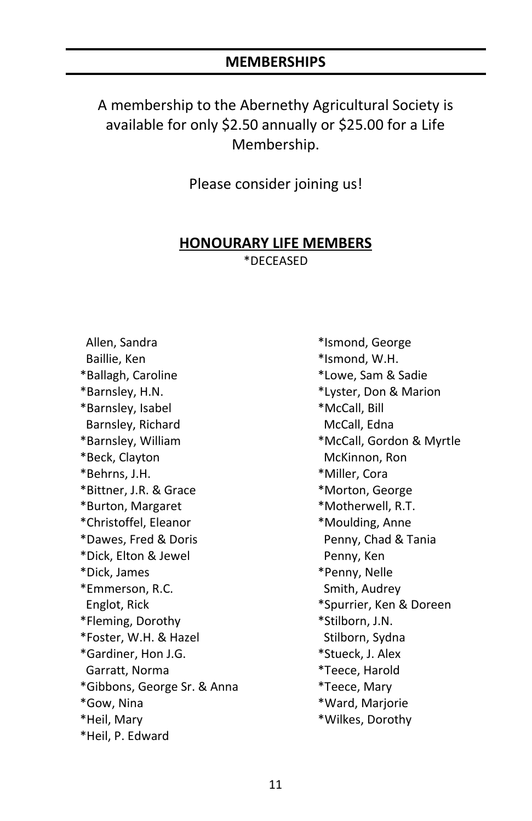#### **MEMBERSHIPS**

A membership to the Abernethy Agricultural Society is available for only \$2.50 annually or \$25.00 for a Life Membership.

Please consider joining us!

#### **HONOURARY LIFE MEMBERS** \*DECEASED

 Allen, Sandra Baillie, Ken \*Ballagh, Caroline \*Barnsley, H.N. \*Barnsley, Isabel Barnsley, Richard \*Barnsley, William \*Beck, Clayton \*Behrns, J.H. \*Bittner, J.R. & Grace \*Burton, Margaret \*Christoffel, Eleanor \*Dawes, Fred & Doris \*Dick, Elton & Jewel \*Dick, James \*Emmerson, R.C. Englot, Rick \*Fleming, Dorothy \*Foster, W.H. & Hazel \*Gardiner, Hon J.G. Garratt, Norma \*Gibbons, George Sr. & Anna \*Gow, Nina \*Heil, Mary \*Heil, P. Edward

\*Ismond, George \*Ismond, W.H. \*Lowe, Sam & Sadie \*Lyster, Don & Marion \*McCall, Bill McCall, Edna \*McCall, Gordon & Myrtle McKinnon, Ron \*Miller, Cora \*Morton, George \*Motherwell, R.T. \*Moulding, Anne Penny, Chad & Tania Penny, Ken \*Penny, Nelle Smith, Audrey \*Spurrier, Ken & Doreen \*Stilborn, J.N. Stilborn, Sydna \*Stueck, J. Alex \*Teece, Harold \*Teece, Mary \*Ward, Marjorie \*Wilkes, Dorothy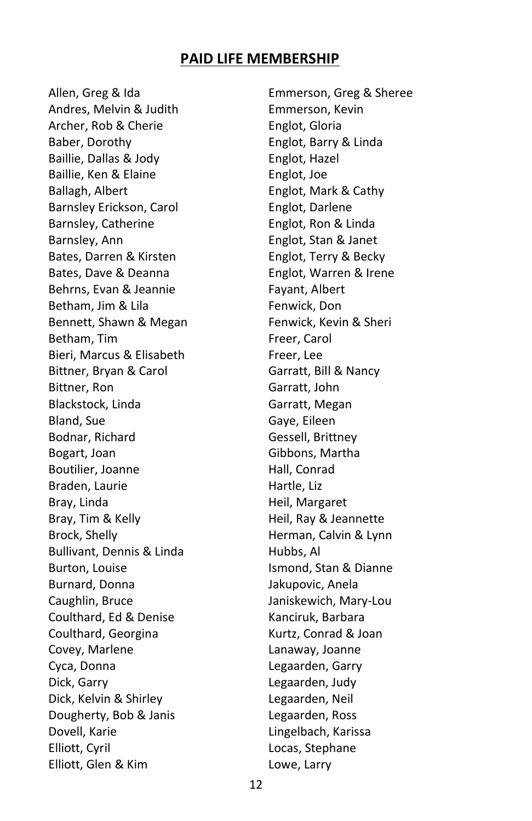#### **PAID LIFE MEMBERSHIP**

Allen, Greg & Ida Andres, Melvin & Judith Archer, Rob & Cherie Baber, Dorothy Baillie, Dallas & Jody Baillie, Ken & Elaine Ballagh, Albert Barnsley Erickson, Carol Barnsley, Catherine Barnsley, Ann Bates, Darren & Kirsten Bates, Dave & Deanna Behrns, Evan & Jeannie Betham, Jim & Lila Bennett, Shawn & Megan Betham, Tim Bieri, Marcus & Elisabeth Bittner, Bryan & Carol Bittner, Ron Blackstock, Linda Bland, Sue Bodnar, Richard Bogart, Joan Boutilier, Joanne Braden, Laurie Bray, Linda Bray, Tim & Kelly Brock, Shelly Bullivant, Dennis & Linda Burton, Louise Burnard, Donna Caughlin, Bruce Coulthard, Ed & Denise Coulthard, Georgina Covey, Marlene Cyca, Donna Dick, Garry Dick, Kelvin & Shirley Dougherty, Bob & Janis Dovell, Karie Elliott, Cyril Elliott, Glen & Kim

Emmerson, Greg & Sheree Emmerson, Kevin Englot, Gloria Englot, Barry & Linda Englot, Hazel Englot, Joe Englot, Mark & Cathy Englot, Darlene Englot, Ron & Linda Englot, Stan & Janet Englot, Terry & Becky Englot, Warren & Irene Fayant, Albert Fenwick, Don Fenwick, Kevin & Sheri Freer, Carol Freer, Lee Garratt, Bill & Nancy Garratt, John Garratt, Megan Gaye, Eileen Gessell, Brittney Gibbons, Martha Hall, Conrad Hartle, Liz Heil, Margaret Heil, Ray & Jeannette Herman, Calvin & Lynn Hubbs, Al Ismond, Stan & Dianne Jakupovic, Anela Janiskewich, Mary-Lou Kanciruk, Barbara Kurtz, Conrad & Joan Lanaway, Joanne Legaarden, Garry Legaarden, Judy Legaarden, Neil Legaarden, Ross Lingelbach, Karissa Locas, Stephane Lowe, Larry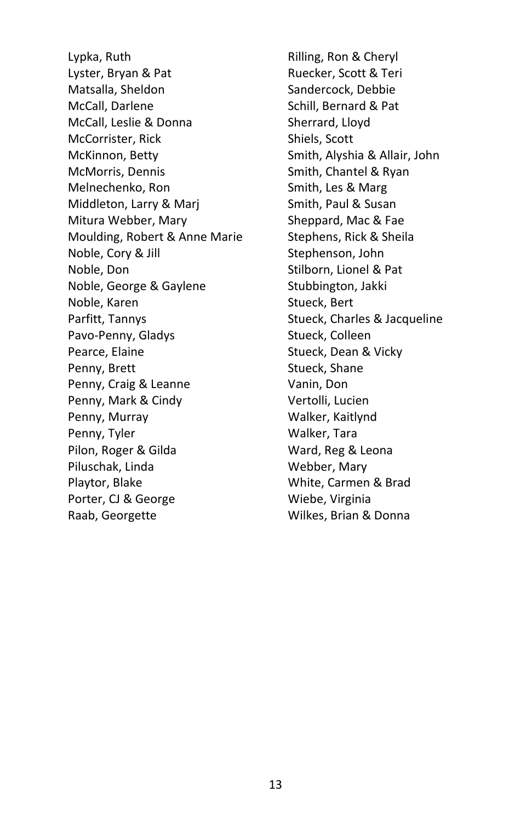Lypka, Ruth Lyster, Bryan & Pat Matsalla, Sheldon McCall, Darlene McCall, Leslie & Donna McCorrister, Rick McKinnon, Betty McMorris, Dennis Melnechenko, Ron Middleton, Larry & Marj Mitura Webber, Mary Moulding, Robert & Anne Marie Noble, Cory & Jill Noble, Don Noble, George & Gaylene Noble, Karen Parfitt, Tannys Pavo-Penny, Gladys Pearce, Elaine Penny, Brett Penny, Craig & Leanne Penny, Mark & Cindy Penny, Murray Penny, Tyler Pilon, Roger & Gilda Piluschak, Linda Playtor, Blake Porter, CJ & George Raab, Georgette

Rilling, Ron & Cheryl Ruecker, Scott & Teri Sandercock, Debbie Schill, Bernard & Pat Sherrard, Lloyd Shiels, Scott Smith, Alyshia & Allair, John Smith, Chantel & Ryan Smith, Les & Marg Smith, Paul & Susan Sheppard, Mac & Fae Stephens, Rick & Sheila Stephenson, John Stilborn, Lionel & Pat Stubbington, Jakki Stueck, Bert Stueck, Charles & Jacqueline Stueck, Colleen Stueck, Dean & Vicky Stueck, Shane Vanin, Don Vertolli, Lucien Walker, Kaitlynd Walker, Tara Ward, Reg & Leona Webber, Mary White, Carmen & Brad Wiebe, Virginia Wilkes, Brian & Donna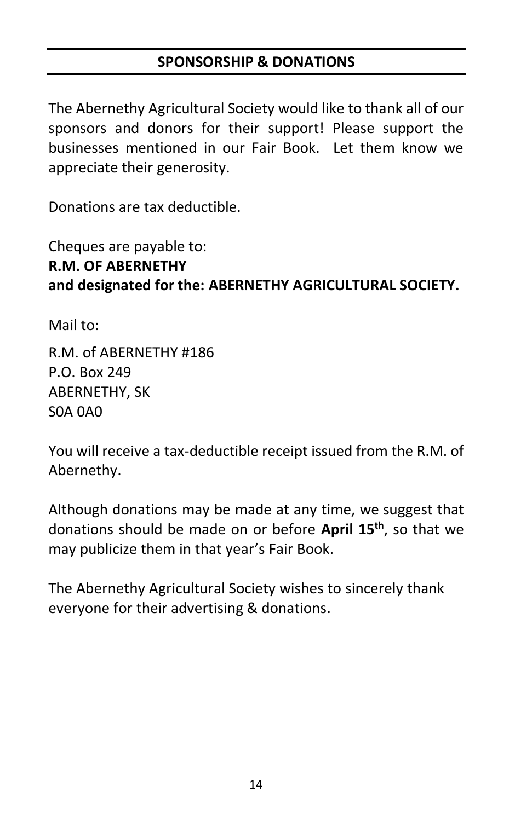# **SPONSORSHIP & DONATIONS**

The Abernethy Agricultural Society would like to thank all of our sponsors and donors for their support! Please support the businesses mentioned in our Fair Book. Let them know we appreciate their generosity.

Donations are tax deductible.

# Cheques are payable to: **R.M. OF ABERNETHY and designated for the: ABERNETHY AGRICULTURAL SOCIETY.**

Mail to:

R.M. of ABERNETHY #186 P.O. Box 249 ABERNETHY, SK S0A 0A0

You will receive a tax-deductible receipt issued from the R.M. of Abernethy.

Although donations may be made at any time, we suggest that donations should be made on or before **April 15th**, so that we may publicize them in that year's Fair Book.

The Abernethy Agricultural Society wishes to sincerely thank everyone for their advertising & donations.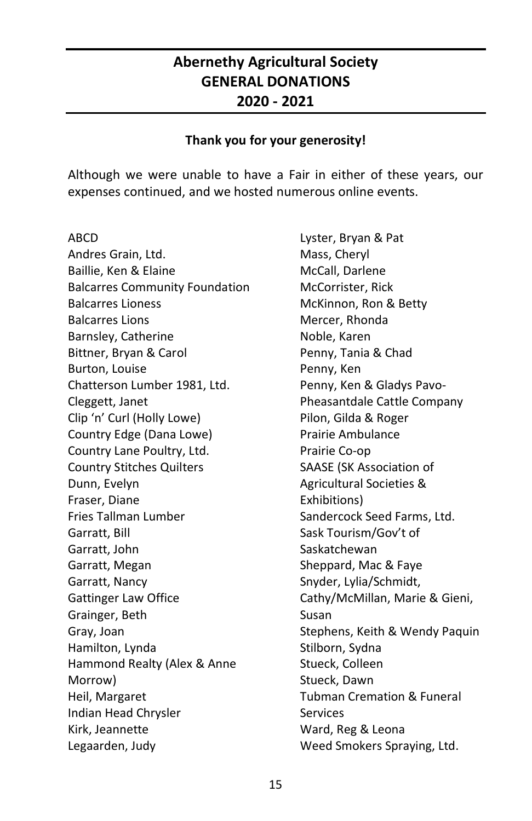# **Abernethy Agricultural Society GENERAL DONATIONS 2020 - 2021**

#### **Thank you for your generosity!**

Although we were unable to have a Fair in either of these years, our expenses continued, and we hosted numerous online events.

ABCD Andres Grain, Ltd. Baillie, Ken & Elaine Balcarres Community Foundation Balcarres Lioness Balcarres Lions Barnsley, Catherine Bittner, Bryan & Carol Burton, Louise Chatterson Lumber 1981, Ltd. Cleggett, Janet Clip 'n' Curl (Holly Lowe) Country Edge (Dana Lowe) Country Lane Poultry, Ltd. Country Stitches Quilters Dunn, Evelyn Fraser, Diane Fries Tallman Lumber Garratt, Bill Garratt, John Garratt, Megan Garratt, Nancy Gattinger Law Office Grainger, Beth Gray, Joan Hamilton, Lynda Hammond Realty (Alex & Anne Morrow) Heil, Margaret Indian Head Chrysler Kirk, Jeannette Legaarden, Judy

Lyster, Bryan & Pat Mass, Cheryl McCall, Darlene McCorrister, Rick McKinnon, Ron & Betty Mercer, Rhonda Noble, Karen Penny, Tania & Chad Penny, Ken Penny, Ken & Gladys Pavo-Pheasantdale Cattle Company Pilon, Gilda & Roger Prairie Ambulance Prairie Co-op SAASE (SK Association of Agricultural Societies & Exhibitions) Sandercock Seed Farms, Ltd. Sask Tourism/Gov't of Saskatchewan Sheppard, Mac & Faye Snyder, Lylia/Schmidt, Cathy/McMillan, Marie & Gieni, Susan Stephens, Keith & Wendy Paquin Stilborn, Sydna Stueck, Colleen Stueck, Dawn Tubman Cremation & Funeral Services Ward, Reg & Leona Weed Smokers Spraying, Ltd.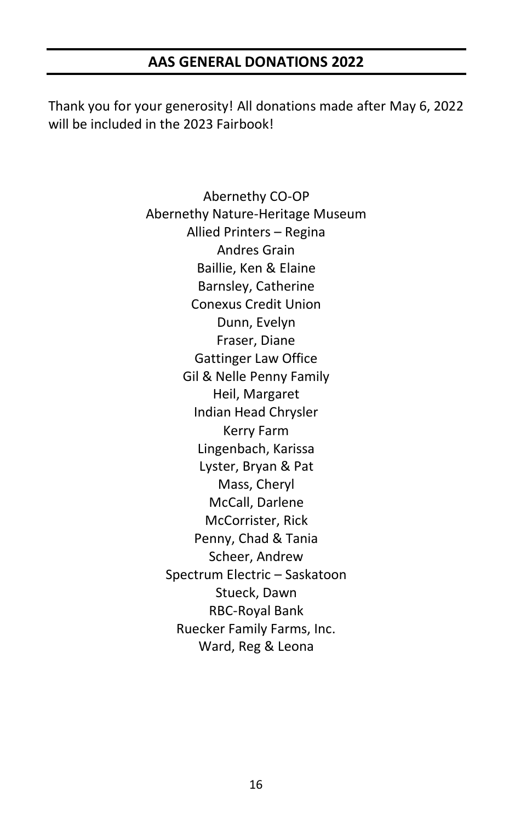#### **AAS GENERAL DONATIONS 2022**

Thank you for your generosity! All donations made after May 6, 2022 will be included in the 2023 Fairbook!

> Abernethy CO-OP Abernethy Nature-Heritage Museum Allied Printers – Regina Andres Grain Baillie, Ken & Elaine Barnsley, Catherine Conexus Credit Union Dunn, Evelyn Fraser, Diane Gattinger Law Office Gil & Nelle Penny Family Heil, Margaret Indian Head Chrysler Kerry Farm Lingenbach, Karissa Lyster, Bryan & Pat Mass, Cheryl McCall, Darlene McCorrister, Rick Penny, Chad & Tania Scheer, Andrew Spectrum Electric – Saskatoon Stueck, Dawn RBC-Royal Bank Ruecker Family Farms, Inc. Ward, Reg & Leona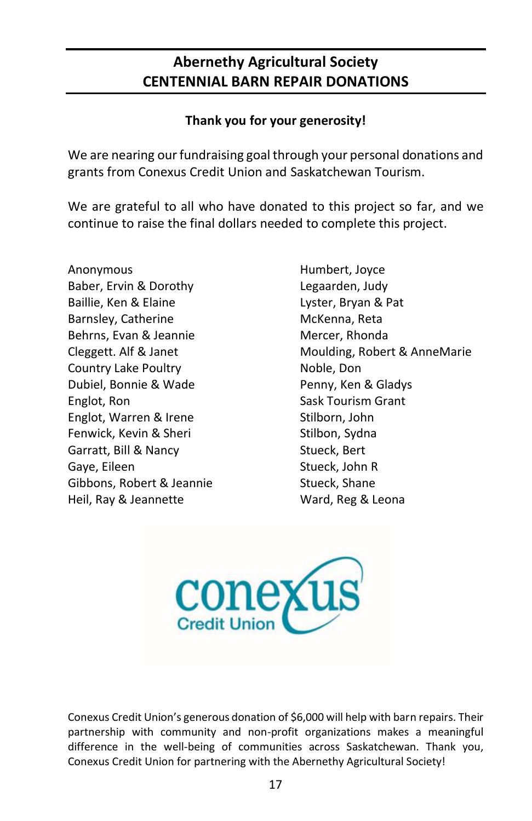# **Abernethy Agricultural Society CENTENNIAL BARN REPAIR DONATIONS**

## **Thank you for your generosity!**

We are nearing our fundraising goal through your personal donations and grants from Conexus Credit Union and Saskatchewan Tourism.

We are grateful to all who have donated to this project so far, and we continue to raise the final dollars needed to complete this project.

Anonymous Baber, Ervin & Dorothy Baillie, Ken & Elaine Barnsley, Catherine Behrns, Evan & Jeannie Cleggett. Alf & Janet Country Lake Poultry Dubiel, Bonnie & Wade Englot, Ron Englot, Warren & Irene Fenwick, Kevin & Sheri Garratt, Bill & Nancy Gaye, Eileen Gibbons, Robert & Jeannie Heil, Ray & Jeannette

Humbert, Joyce Legaarden, Judy Lyster, Bryan & Pat McKenna, Reta Mercer, Rhonda Moulding, Robert & AnneMarie Noble, Don Penny, Ken & Gladys Sask Tourism Grant Stilborn, John Stilbon, Sydna Stueck, Bert Stueck, John R Stueck, Shane Ward, Reg & Leona



Conexus Credit Union's generous donation of \$6,000 will help with barn repairs. Their partnership with community and non-profit organizations makes a meaningful difference in the well-being of communities across Saskatchewan. Thank you, Conexus Credit Union for partnering with the Abernethy Agricultural Society!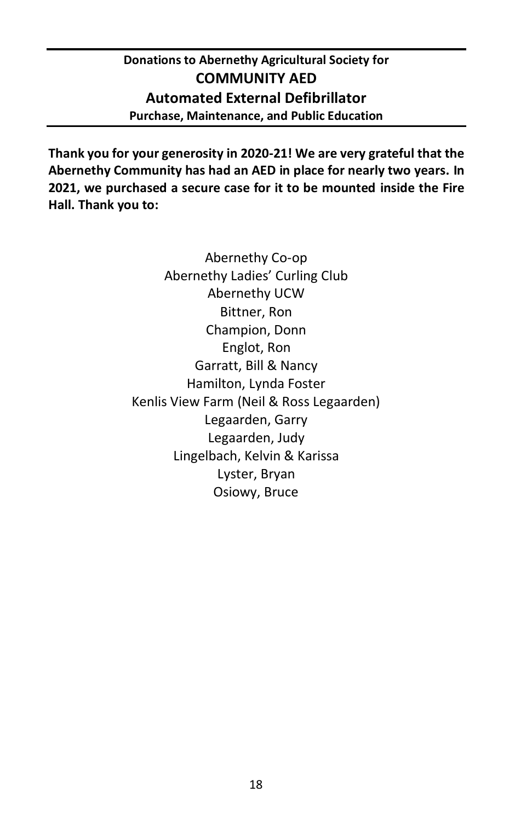# **Donations to Abernethy Agricultural Society for COMMUNITY AED Automated External Defibrillator Purchase, Maintenance, and Public Education**

**Thank you for your generosity in 2020-21! We are very grateful that the Abernethy Community has had an AED in place for nearly two years. In 2021, we purchased a secure case for it to be mounted inside the Fire Hall. Thank you to:**

> Abernethy Co-op Abernethy Ladies' Curling Club Abernethy UCW Bittner, Ron Champion, Donn Englot, Ron Garratt, Bill & Nancy Hamilton, Lynda Foster Kenlis View Farm (Neil & Ross Legaarden) Legaarden, Garry Legaarden, Judy Lingelbach, Kelvin & Karissa Lyster, Bryan Osiowy, Bruce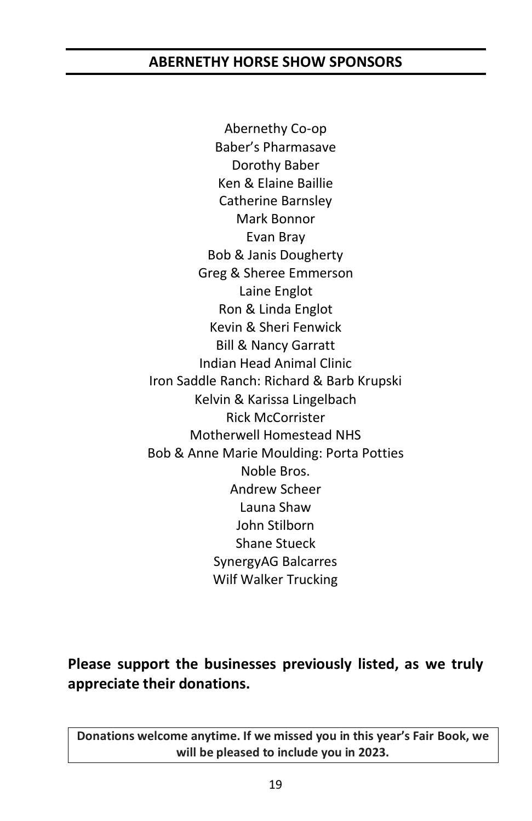# **ABERNETHY HORSE SHOW SPONSORS**

Abernethy Co-op Baber's Pharmasave Dorothy Baber Ken & Elaine Baillie Catherine Barnsley Mark Bonnor Evan Bray Bob & Janis Dougherty Greg & Sheree Emmerson Laine Englot Ron & Linda Englot Kevin & Sheri Fenwick Bill & Nancy Garratt Indian Head Animal Clinic Iron Saddle Ranch: Richard & Barb Krupski Kelvin & Karissa Lingelbach Rick McCorrister Motherwell Homestead NHS Bob & Anne Marie Moulding: Porta Potties Noble Bros. Andrew Scheer Launa Shaw John Stilborn Shane Stueck SynergyAG Balcarres Wilf Walker Trucking

**Please support the businesses previously listed, as we truly appreciate their donations.**

**Donations welcome anytime. If we missed you in this year's Fair Book, we will be pleased to include you in 2023.**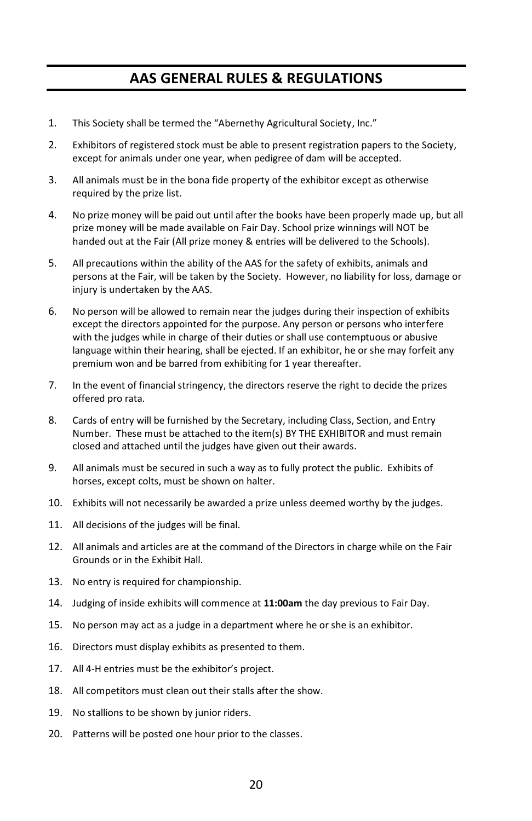# **AAS GENERAL RULES & REGULATIONS**

- 1. This Society shall be termed the "Abernethy Agricultural Society, Inc."
- 2. Exhibitors of registered stock must be able to present registration papers to the Society, except for animals under one year, when pedigree of dam will be accepted.
- 3. All animals must be in the bona fide property of the exhibitor except as otherwise required by the prize list.
- 4. No prize money will be paid out until after the books have been properly made up, but all prize money will be made available on Fair Day. School prize winnings will NOT be handed out at the Fair (All prize money & entries will be delivered to the Schools).
- 5. All precautions within the ability of the AAS for the safety of exhibits, animals and persons at the Fair, will be taken by the Society. However, no liability for loss, damage or injury is undertaken by the AAS.
- 6. No person will be allowed to remain near the judges during their inspection of exhibits except the directors appointed for the purpose. Any person or persons who interfere with the judges while in charge of their duties or shall use contemptuous or abusive language within their hearing, shall be ejected. If an exhibitor, he or she may forfeit any premium won and be barred from exhibiting for 1 year thereafter.
- 7. In the event of financial stringency, the directors reserve the right to decide the prizes offered pro rata.
- 8. Cards of entry will be furnished by the Secretary, including Class, Section, and Entry Number. These must be attached to the item(s) BY THE EXHIBITOR and must remain closed and attached until the judges have given out their awards.
- 9. All animals must be secured in such a way as to fully protect the public. Exhibits of horses, except colts, must be shown on halter.
- 10. Exhibits will not necessarily be awarded a prize unless deemed worthy by the judges.
- 11. All decisions of the judges will be final.
- 12. All animals and articles are at the command of the Directors in charge while on the Fair Grounds or in the Exhibit Hall.
- 13. No entry is required for championship.
- 14. Judging of inside exhibits will commence at **11:00am** the day previous to Fair Day.
- 15. No person may act as a judge in a department where he or she is an exhibitor.
- 16. Directors must display exhibits as presented to them.
- 17. All 4-H entries must be the exhibitor's project.
- 18. All competitors must clean out their stalls after the show.
- 19. No stallions to be shown by junior riders.
- 20. Patterns will be posted one hour prior to the classes.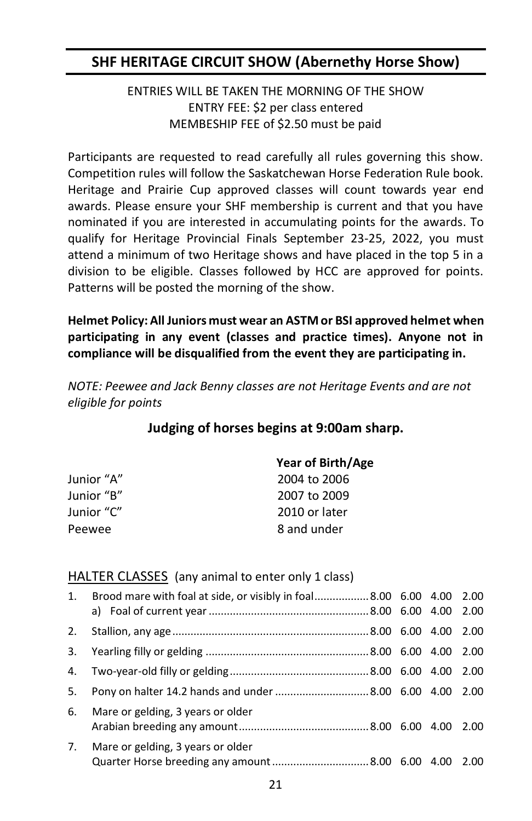# **SHF HERITAGE CIRCUIT SHOW (Abernethy Horse Show)**

#### ENTRIES WILL BE TAKEN THE MORNING OF THE SHOW ENTRY FEE: \$2 per class entered MEMBESHIP FEE of \$2.50 must be paid

Participants are requested to read carefully all rules governing this show. Competition rules will follow the Saskatchewan Horse Federation Rule book. Heritage and Prairie Cup approved classes will count towards year end awards. Please ensure your SHF membership is current and that you have nominated if you are interested in accumulating points for the awards. To qualify for Heritage Provincial Finals September 23-25, 2022, you must attend a minimum of two Heritage shows and have placed in the top 5 in a division to be eligible. Classes followed by HCC are approved for points. Patterns will be posted the morning of the show.

**Helmet Policy: All Juniors must wear an ASTM or BSI approved helmet when participating in any event (classes and practice times). Anyone not in compliance will be disqualified from the event they are participating in.**

*NOTE: Peewee and Jack Benny classes are not Heritage Events and are not eligible for points*

#### **Judging of horses begins at 9:00am sharp.**

|            | Year of Birth/Age |
|------------|-------------------|
| Junior "A" | 2004 to 2006      |
| Junior "B" | 2007 to 2009      |
| Junior "C" | 2010 or later     |
| Peewee     | 8 and under       |
|            |                   |

#### **HALTER CLASSES** (any animal to enter only 1 class)

| 1. | Brood mare with foal at side, or visibly in foal8.00 6.00 4.00 2.00 |  |  |
|----|---------------------------------------------------------------------|--|--|
| 2. |                                                                     |  |  |
| 3. |                                                                     |  |  |
| 4. |                                                                     |  |  |
| 5. | Pony on halter 14.2 hands and under 8.00 6.00 4.00 2.00             |  |  |
| 6. | Mare or gelding, 3 years or older                                   |  |  |
| 7. | Mare or gelding, 3 years or older                                   |  |  |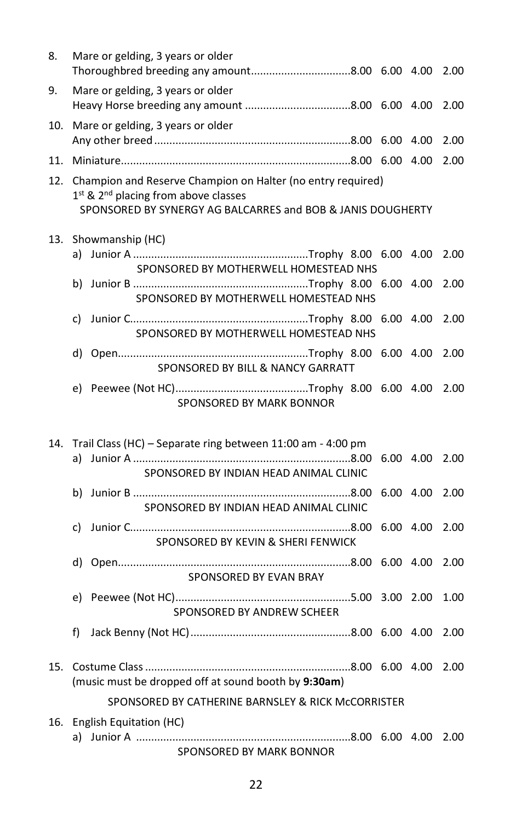| 8.  | Mare or gelding, 3 years or older                                                                                                                                                          |           | 2.00 |
|-----|--------------------------------------------------------------------------------------------------------------------------------------------------------------------------------------------|-----------|------|
| 9.  | Mare or gelding, 3 years or older                                                                                                                                                          |           | 2.00 |
| 10. | Mare or gelding, 3 years or older                                                                                                                                                          |           | 2.00 |
| 11. |                                                                                                                                                                                            |           | 2.00 |
| 12. | Champion and Reserve Champion on Halter (no entry required)<br>1 <sup>st</sup> & 2 <sup>nd</sup> placing from above classes<br>SPONSORED BY SYNERGY AG BALCARRES and BOB & JANIS DOUGHERTY |           |      |
| 13. | Showmanship (HC)<br>SPONSORED BY MOTHERWELL HOMESTEAD NHS                                                                                                                                  |           | 2.00 |
|     | SPONSORED BY MOTHERWELL HOMESTEAD NHS                                                                                                                                                      |           | 2.00 |
|     | SPONSORED BY MOTHERWELL HOMESTEAD NHS                                                                                                                                                      |           | 2.00 |
|     | SPONSORED BY BILL & NANCY GARRATT                                                                                                                                                          |           | 2.00 |
|     | SPONSORED BY MARK BONNOR                                                                                                                                                                   |           | 2.00 |
| 14. | Trail Class (HC) - Separate ring between 11:00 am - 4:00 pm<br>SPONSORED BY INDIAN HEAD ANIMAL CLINIC                                                                                      |           | 2.00 |
|     | SPONSORED BY INDIAN HEAD ANIMAL CLINIC                                                                                                                                                     | 6.00 4.00 | 2.00 |
|     | SPONSORED BY KEVIN & SHERI FENWICK                                                                                                                                                         | 6.00 4.00 | 2.00 |
|     | SPONSORED BY EVAN BRAY                                                                                                                                                                     |           | 2.00 |
|     | SPONSORED BY ANDREW SCHEER                                                                                                                                                                 |           | 1.00 |
|     | f)                                                                                                                                                                                         |           | 2.00 |
|     | (music must be dropped off at sound booth by 9:30am)                                                                                                                                       |           |      |
|     | SPONSORED BY CATHERINE BARNSLEY & RICK McCORRISTER                                                                                                                                         |           |      |
| 16. | English Equitation (HC)<br>a) Junior A ………………………………………………………………8.00 6.00 4.00<br>SPONSORED BY MARK BONNOR                                                                                  |           | 2.00 |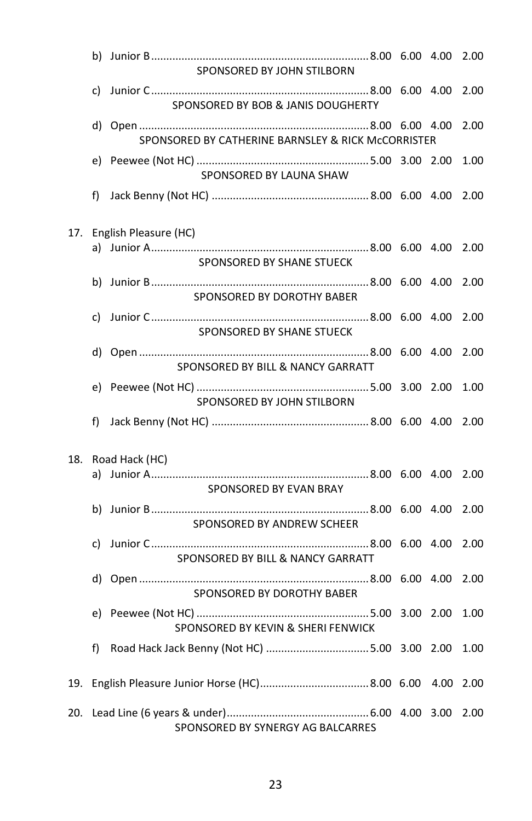|     |    | SPONSORED BY JOHN STILBORN                         |  | 2.00 |
|-----|----|----------------------------------------------------|--|------|
|     |    | SPONSORED BY BOB & JANIS DOUGHERTY                 |  | 2.00 |
|     |    | SPONSORED BY CATHERINE BARNSLEY & RICK McCORRISTER |  | 2.00 |
|     |    | SPONSORED BY LAUNA SHAW                            |  | 1.00 |
|     | f) |                                                    |  | 2.00 |
| 17. |    | English Pleasure (HC)                              |  |      |
|     |    | SPONSORED BY SHANE STUECK                          |  | 2.00 |
|     |    | SPONSORED BY DOROTHY BABER                         |  | 2.00 |
|     |    | SPONSORED BY SHANE STUECK                          |  | 2.00 |
|     |    | SPONSORED BY BILL & NANCY GARRATT                  |  | 2.00 |
|     |    | SPONSORED BY JOHN STILBORN                         |  | 1.00 |
|     | f) |                                                    |  | 2.00 |
| 18. |    | Road Hack (HC)                                     |  |      |
|     |    | SPONSORED BY EVAN BRAY                             |  | 2.00 |
|     |    | SPONSORED BY ANDREW SCHEER                         |  | 2.00 |
|     |    | SPONSORED BY BILL & NANCY GARRATT                  |  | 2.00 |
|     |    | SPONSORED BY DOROTHY BABER                         |  | 2.00 |
|     |    | SPONSORED BY KEVIN & SHERI FENWICK                 |  | 1.00 |
|     | f) |                                                    |  | 1.00 |
|     |    |                                                    |  | 2.00 |
|     |    | SPONSORED BY SYNERGY AG BALCARRES                  |  | 2.00 |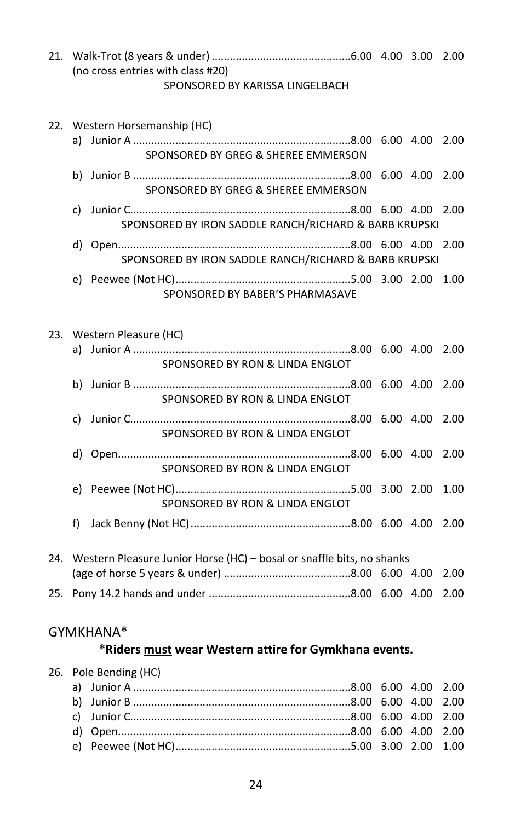21. Walk-Trot (8 years & under) ..............................................6.00 4.00 3.00 2.00 (no cross entries with class #20) SPONSORED BY KARISSA LINGELBACH

#### 22. Western Horsemanship (HC)

- a) Junior A ........................................................................8.00 6.00 4.00 2.00 SPONSORED BY GREG & SHEREE EMMERSON b) Junior B ........................................................................8.00 6.00 4.00 2.00 SPONSORED BY GREG & SHEREE EMMERSON
	- c) Junior C.........................................................................8.00 6.00 4.00 2.00 SPONSORED BY IRON SADDLE RANCH/RICHARD & BARB KRUPSKI
	- d) Open.............................................................................8.00 6.00 4.00 2.00 SPONSORED BY IRON SADDLE RANCH/RICHARD & BARB KRUPSKI
	- e) Peewee (Not HC)..........................................................5.00 3.00 2.00 1.00 SPONSORED BY BABER'S PHARMASAVE

#### 23. Western Pleasure (HC)

|    | SPONSORED BY RON & LINDA ENGLOT                                           |  |  |
|----|---------------------------------------------------------------------------|--|--|
|    | SPONSORED BY RON & LINDA ENGLOT                                           |  |  |
| d) | SPONSORED BY RON & LINDA ENGLOT                                           |  |  |
|    | SPONSORED BY RON & LINDA ENGLOT                                           |  |  |
| f) | SPONSORED BY RON & LINDA ENGLOT                                           |  |  |
|    |                                                                           |  |  |
|    | 24. Western Pleasure Junior Horse (HC) – bosal or snaffle bits, no shanks |  |  |

25. Pony 14.2 hands and under ...............................................8.00 6.00 4.00 2.00

#### GYMKHANA\*

#### **\*Riders must wear Western attire for Gymkhana events.**

#### 26. Pole Bending (HC)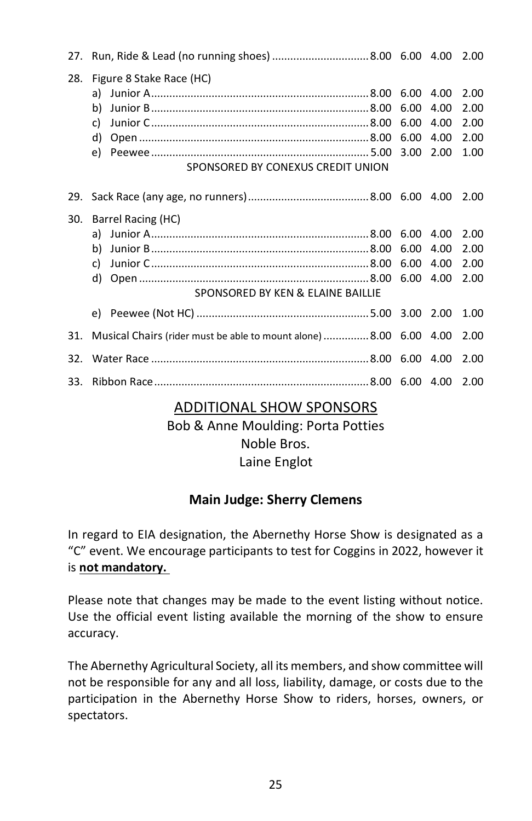| 27. |                                                                                       |                                   |                              | 2.00                                 |
|-----|---------------------------------------------------------------------------------------|-----------------------------------|------------------------------|--------------------------------------|
| 28. | Figure 8 Stake Race (HC)<br>b)<br>c)<br>d)<br>e)<br>SPONSORED BY CONEXUS CREDIT UNION | 6.00<br>6.00<br>6.00<br>3.00 2.00 | 4.00<br>4.00<br>4.00<br>4.00 | 2.00<br>2.00<br>2.00<br>2.00<br>1.00 |
| 29. |                                                                                       |                                   |                              | 2.00                                 |
| 30. | Barrel Racing (HC)<br>b)<br>C)<br>d)<br>SPONSORED BY KEN & ELAINE BAILLIE             | 6.00<br>6.00<br>6.00              | 4.00<br>4.00<br>4.00         | 2.00<br>2.00<br>2.00<br>2.00         |
|     |                                                                                       |                                   |                              | 1.00                                 |
| 31. | Musical Chairs (rider must be able to mount alone) 8.00 6.00 4.00                     |                                   |                              | 2.00                                 |
| 32. |                                                                                       |                                   |                              | 2.00                                 |
| 33. |                                                                                       |                                   |                              | 2.00                                 |

#### ADDITIONAL SHOW SPONSORS

Bob & Anne Moulding: Porta Potties Noble Bros. Laine Englot

#### **Main Judge: Sherry Clemens**

In regard to EIA designation, the Abernethy Horse Show is designated as a "C" event. We encourage participants to test for Coggins in 2022, however it is **not mandatory.**

Please note that changes may be made to the event listing without notice. Use the official event listing available the morning of the show to ensure accuracy.

The Abernethy Agricultural Society, all its members, and show committee will not be responsible for any and all loss, liability, damage, or costs due to the participation in the Abernethy Horse Show to riders, horses, owners, or spectators.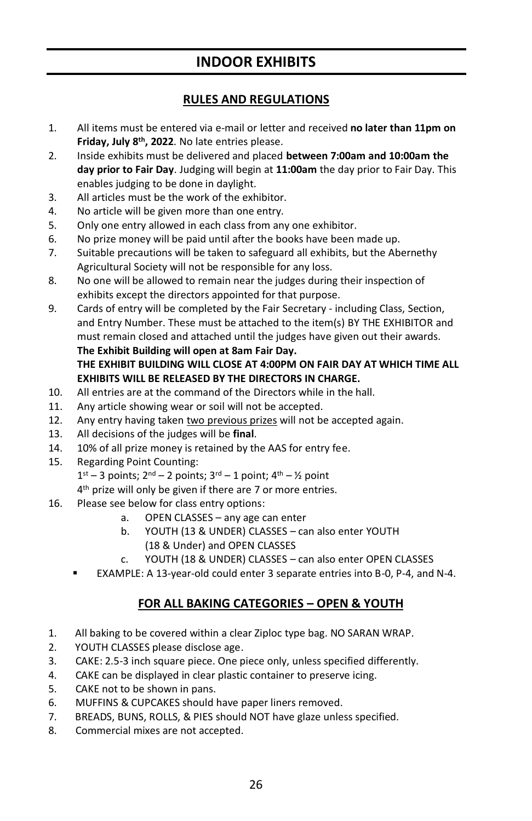## **INDOOR EXHIBITS**

#### **RULES AND REGULATIONS**

- 1. All items must be entered via e-mail or letter and received **no later than 11pm on Friday, July 8 th, 2022**. No late entries please.
- 2. Inside exhibits must be delivered and placed **between 7:00am and 10:00am the day prior to Fair Day**. Judging will begin at **11:00am** the day prior to Fair Day. This enables judging to be done in daylight.
- 3. All articles must be the work of the exhibitor.
- 4. No article will be given more than one entry.
- 5. Only one entry allowed in each class from any one exhibitor.
- 6. No prize money will be paid until after the books have been made up.
- 7. Suitable precautions will be taken to safeguard all exhibits, but the Abernethy Agricultural Society will not be responsible for any loss.
- 8. No one will be allowed to remain near the judges during their inspection of exhibits except the directors appointed for that purpose.
- 9. Cards of entry will be completed by the Fair Secretary including Class, Section, and Entry Number. These must be attached to the item(s) BY THE EXHIBITOR and must remain closed and attached until the judges have given out their awards. **The Exhibit Building will open at 8am Fair Day. THE EXHIBIT BUILDING WILL CLOSE AT 4:00PM ON FAIR DAY AT WHICH TIME ALL EXHIBITS WILL BE RELEASED BY THE DIRECTORS IN CHARGE.**
- 10. All entries are at the command of the Directors while in the hall.
- 11. Any article showing wear or soil will not be accepted.
- 12. Any entry having taken two previous prizes will not be accepted again.
- 13. All decisions of the judges will be **final**.
- 14. 10% of all prize money is retained by the AAS for entry fee.
- 15. Regarding Point Counting:
	- $1<sup>st</sup> 3$  points;  $2<sup>nd</sup> 2$  points;  $3<sup>rd</sup> 1$  point;  $4<sup>th</sup> \frac{1}{2}$  point
	- 4<sup>th</sup> prize will only be given if there are 7 or more entries.
- 16. Please see below for class entry options:
	- a. OPEN CLASSES any age can enter
	- b. YOUTH (13 & UNDER) CLASSES can also enter YOUTH (18 & Under) and OPEN CLASSES
	- c. YOUTH (18 & UNDER) CLASSES can also enter OPEN CLASSES
	- EXAMPLE: A 13-year-old could enter 3 separate entries into B-0, P-4, and N-4.

#### **FOR ALL BAKING CATEGORIES – OPEN & YOUTH**

- 1. All baking to be covered within a clear Ziploc type bag. NO SARAN WRAP.
- 2. YOUTH CLASSES please disclose age.
- 3. CAKE: 2.5-3 inch square piece. One piece only, unless specified differently.
- 4. CAKE can be displayed in clear plastic container to preserve icing.
- 5. CAKE not to be shown in pans.
- 6. MUFFINS & CUPCAKES should have paper liners removed.
- 7. BREADS, BUNS, ROLLS, & PIES should NOT have glaze unless specified.
- 8. Commercial mixes are not accepted.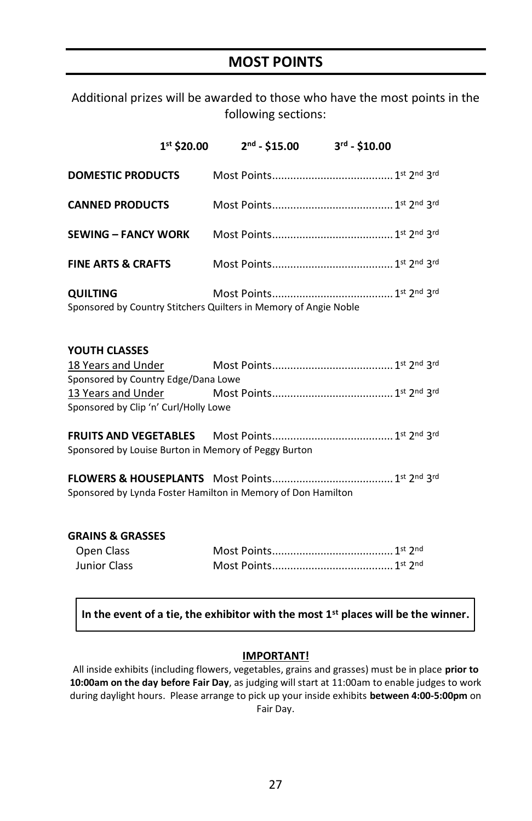## **MOST POINTS**

Additional prizes will be awarded to those who have the most points in the following sections:

|                               | $1st$ \$20.00 | $2nd - $15.00$                                                   | $3^{rd} - $10.00$ |  |
|-------------------------------|---------------|------------------------------------------------------------------|-------------------|--|
| <b>DOMESTIC PRODUCTS</b>      |               |                                                                  |                   |  |
| <b>CANNED PRODUCTS</b>        |               |                                                                  |                   |  |
| <b>SEWING - FANCY WORK</b>    |               |                                                                  |                   |  |
| <b>FINE ARTS &amp; CRAFTS</b> |               |                                                                  |                   |  |
| <b>QUILTING</b>               |               | Sponsored by Country Stitchers Quilters in Memory of Angie Noble |                   |  |

#### **YOUTH CLASSES**

| 18 Years and Under                    |   |
|---------------------------------------|---|
| Sponsored by Country Edge/Dana Lowe   |   |
| 13 Years and Under                    |   |
| Sponsored by Clip 'n' Curl/Holly Lowe |   |
|                                       |   |
|                                       | . |

**FRUITS AND VEGETABLES** Most Points........................................1 st 2 nd 3 rd Sponsored by Louise Burton in Memory of Peggy Burton

**FLOWERS & HOUSEPLANTS** Most Points........................................1 st 2 nd 3 rd Sponsored by Lynda Foster Hamilton in Memory of Don Hamilton

#### **GRAINS & GRASSES**

| Open Class   |  |  |
|--------------|--|--|
| Junior Class |  |  |

#### **In the event of a tie, the exhibitor with the most 1st places will be the winner.**

#### **IMPORTANT!**

All inside exhibits (including flowers, vegetables, grains and grasses) must be in place **prior to 10:00am on the day before Fair Day**, as judging will start at 11:00am to enable judges to work during daylight hours. Please arrange to pick up your inside exhibits **between 4:00-5:00pm** on Fair Day.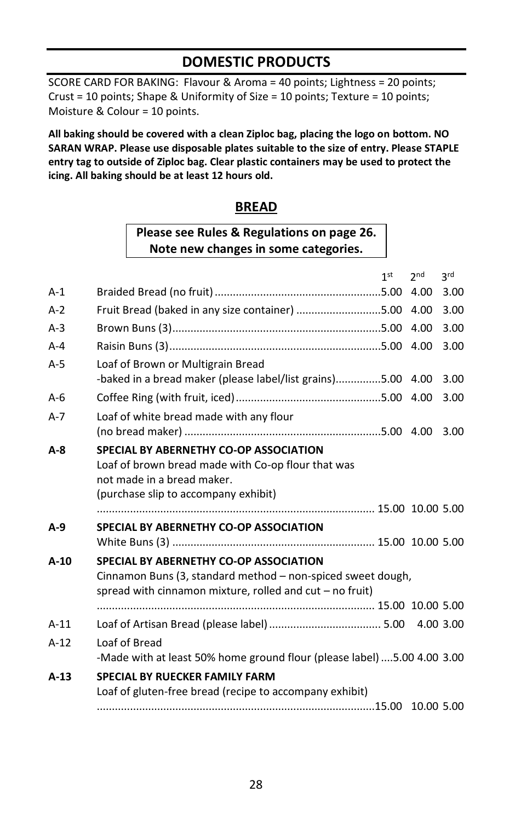## **DOMESTIC PRODUCTS**

SCORE CARD FOR BAKING: Flavour & Aroma = 40 points; Lightness = 20 points; Crust = 10 points; Shape & Uniformity of Size = 10 points; Texture = 10 points; Moisture & Colour = 10 points.

**All baking should be covered with a clean Ziploc bag, placing the logo on bottom. NO SARAN WRAP. Please use disposable plates suitable to the size of entry. Please STAPLE entry tag to outside of Ziploc bag. Clear plastic containers may be used to protect the icing. All baking should be at least 12 hours old.** 

#### **BREAD**

## **Please see Rules & Regulations on page 26. Note new changes in some categories.**

|         |                                                                                                  | 1 <sub>st</sub> | 2 <sub>nd</sub> | 2rd  |
|---------|--------------------------------------------------------------------------------------------------|-----------------|-----------------|------|
| $A-1$   |                                                                                                  |                 |                 | 3.00 |
| $A-2$   | Fruit Bread (baked in any size container) 5.00                                                   |                 | 4.00            | 3.00 |
| $A-3$   |                                                                                                  |                 |                 | 3.00 |
| $A - 4$ |                                                                                                  |                 |                 | 3.00 |
| $A-5$   | Loaf of Brown or Multigrain Bread<br>-baked in a bread maker (please label/list grains)5.00 4.00 |                 |                 | 3.00 |
| $A-6$   |                                                                                                  |                 |                 | 3.00 |
| $A-7$   | Loaf of white bread made with any flour                                                          |                 |                 |      |
|         |                                                                                                  |                 |                 | 3.00 |
| A-8     | SPECIAL BY ABERNETHY CO-OP ASSOCIATION                                                           |                 |                 |      |
|         | Loaf of brown bread made with Co-op flour that was                                               |                 |                 |      |
|         | not made in a bread maker.                                                                       |                 |                 |      |
|         | (purchase slip to accompany exhibit)                                                             |                 |                 |      |
|         |                                                                                                  |                 |                 |      |
| $A-9$   | SPECIAL BY ABERNETHY CO-OP ASSOCIATION                                                           |                 |                 |      |
|         |                                                                                                  |                 |                 |      |
| $A-10$  | SPECIAL BY ABERNETHY CO-OP ASSOCIATION                                                           |                 |                 |      |
|         | Cinnamon Buns (3, standard method - non-spiced sweet dough,                                      |                 |                 |      |
|         | spread with cinnamon mixture, rolled and $cut - no$ fruit)                                       |                 |                 |      |
|         |                                                                                                  |                 |                 |      |
| $A-11$  |                                                                                                  |                 |                 |      |
| $A-12$  | Loaf of Bread                                                                                    |                 |                 |      |
|         | -Made with at least 50% home ground flour (please label)  5.00 4.00 3.00                         |                 |                 |      |
| $A-13$  | <b>SPECIAL BY RUECKER FAMILY FARM</b>                                                            |                 |                 |      |
|         | Loaf of gluten-free bread (recipe to accompany exhibit)                                          |                 |                 |      |
|         |                                                                                                  |                 |                 |      |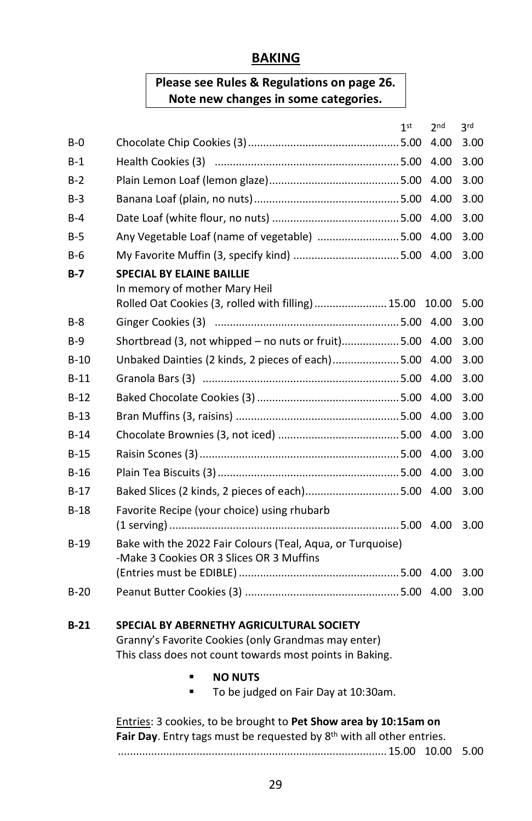#### **BAKING**

## **Please see Rules & Regulations on page 26. Note new changes in some categories.**

|            | 1 <sup>st</sup><br>2 <sub>nd</sub>                         | <b>3rd</b> |
|------------|------------------------------------------------------------|------------|
| $B-0$      | 4.00                                                       | 3.00       |
| $B-1$      | 4.00                                                       | 3.00       |
| $B-2$      | 4.00                                                       | 3.00       |
| $B-3$      | 4.00                                                       | 3.00       |
| $B-4$      | 4.00                                                       | 3.00       |
| <b>B-5</b> | Any Vegetable Loaf (name of vegetable) 5.00<br>4.00        | 3.00       |
| $B-6$      | 4.00                                                       | 3.00       |
| $B-7$      | <b>SPECIAL BY ELAINE BAILLIE</b>                           |            |
|            | In memory of mother Mary Heil                              |            |
|            | Rolled Oat Cookies (3, rolled with filling) 15.00<br>10.00 | 5.00       |
| $B-8$      |                                                            | 3.00       |
| $B-9$      | Shortbread (3, not whipped – no nuts or fruit)5.00<br>4.00 | 3.00       |
| $B-10$     | Unbaked Dainties (2 kinds, 2 pieces of each) 5.00<br>4.00  | 3.00       |
| $B-11$     | 4.00                                                       | 3.00       |
| $B-12$     | 4.00                                                       | 3.00       |
| $B-13$     | 4.00                                                       | 3.00       |
| $B-14$     | 4.00                                                       | 3.00       |
| $B-15$     | 4.00                                                       | 3.00       |
| $B-16$     | 4.00                                                       | 3.00       |
| $B-17$     | Baked Slices (2 kinds, 2 pieces of each)5.00<br>4.00       | 3.00       |
| $B-18$     | Favorite Recipe (your choice) using rhubarb                |            |
|            |                                                            | 3.00       |
| $B-19$     | Bake with the 2022 Fair Colours (Teal, Agua, or Turguoise) |            |
|            | -Make 3 Cookies OR 3 Slices OR 3 Muffins                   | 3.00       |
|            |                                                            |            |
| $B-20$     |                                                            | 3.00       |
|            |                                                            |            |

#### **B-21 SPECIAL BY ABERNETHY AGRICULTURAL SOCIETY**

Granny's Favorite Cookies (only Grandmas may enter) This class does not count towards most points in Baking.

- **NO NUTS**
- To be judged on Fair Day at 10:30am.

Entries: 3 cookies, to be brought to **Pet Show area by 10:15am on** Fair Day. Entry tags must be requested by 8<sup>th</sup> with all other entries. .........................................................................................15.00 10.00 5.00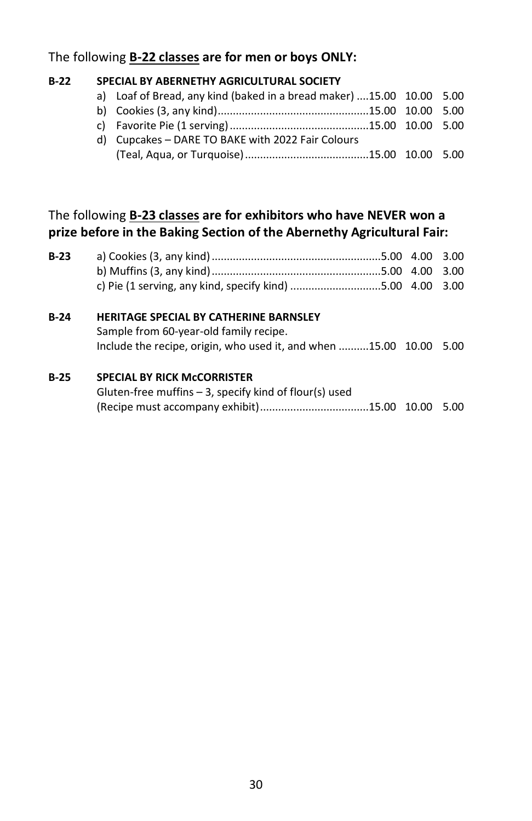#### The following **B-22 classes are for men or boys ONLY:**

#### **B-22 SPECIAL BY ABERNETHY AGRICULTURAL SOCIETY**

a) Loaf of Bread, any kind (baked in a bread maker) ....15.00 10.00 5.00 b) Cookies (3, any kind)..................................................15.00 10.00 5.00 c) Favorite Pie (1 serving)..............................................15.00 10.00 5.00 d) Cupcakes – DARE TO BAKE with 2022 Fair Colours (Teal, Aqua, or Turquoise).........................................15.00 10.00 5.00

#### The following **B-23 classes are for exhibitors who have NEVER won a prize before in the Baking Section of the Abernethy Agricultural Fair:**

| $B-23$ |                                                                                                                                                               | 3.00 |
|--------|---------------------------------------------------------------------------------------------------------------------------------------------------------------|------|
|        | c) Pie (1 serving, any kind, specify kind) 5.00 4.00 3.00                                                                                                     |      |
| B-24   | <b>HERITAGE SPECIAL BY CATHERINE BARNSLEY</b><br>Sample from 60-year-old family recipe.<br>Include the recipe, origin, who used it, and when 15.00 10.00 5.00 |      |
|        |                                                                                                                                                               |      |

#### **B-25 SPECIAL BY RICK McCORRISTER**

| Gluten-free muffins $-$ 3, specify kind of flour(s) used |  |
|----------------------------------------------------------|--|
|                                                          |  |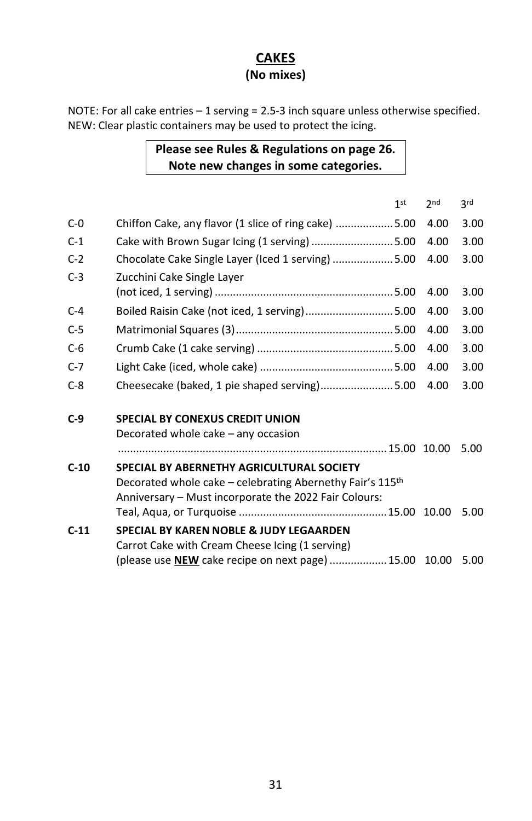#### **CAKES (No mixes)**

NOTE: For all cake entries – 1 serving = 2.5-3 inch square unless otherwise specified. NEW: Clear plastic containers may be used to protect the icing.

#### **Please see Rules & Regulations on page 26. Note new changes in some categories.**

|        |                                                                                                                                                                 | 1 <sub>st</sub> | 2 <sub>nd</sub> | 3rd  |
|--------|-----------------------------------------------------------------------------------------------------------------------------------------------------------------|-----------------|-----------------|------|
| $C-0$  | Chiffon Cake, any flavor (1 slice of ring cake)  5.00                                                                                                           |                 | 4.00            | 3.00 |
| $C-1$  | Cake with Brown Sugar Icing (1 serving) 5.00                                                                                                                    |                 | 4.00            | 3.00 |
| $C-2$  | Chocolate Cake Single Layer (Iced 1 serving) 5.00                                                                                                               |                 | 4.00            | 3.00 |
| $C-3$  | Zucchini Cake Single Layer                                                                                                                                      |                 |                 |      |
|        |                                                                                                                                                                 |                 | 4.00            | 3.00 |
| $C-4$  | Boiled Raisin Cake (not iced, 1 serving)5.00                                                                                                                    |                 | 4.00            | 3.00 |
| $C-5$  |                                                                                                                                                                 |                 | 4.00            | 3.00 |
| $C-6$  |                                                                                                                                                                 |                 | 4.00            | 3.00 |
| $C-7$  |                                                                                                                                                                 |                 | 4.00            | 3.00 |
| $C-8$  | Cheesecake (baked, 1 pie shaped serving)5.00                                                                                                                    |                 | 4.00            | 3.00 |
| $C-9$  | <b>SPECIAL BY CONEXUS CREDIT UNION</b>                                                                                                                          |                 |                 |      |
|        | Decorated whole cake – any occasion                                                                                                                             |                 |                 |      |
|        |                                                                                                                                                                 |                 |                 | 5.00 |
| $C-10$ | SPECIAL BY ABERNETHY AGRICULTURAL SOCIETY<br>Decorated whole cake – celebrating Abernethy Fair's 115th<br>Anniversary - Must incorporate the 2022 Fair Colours: |                 |                 |      |
|        |                                                                                                                                                                 |                 | 10.00           | 5.00 |
| $C-11$ | SPECIAL BY KAREN NOBLE & JUDY LEGAARDEN                                                                                                                         |                 |                 |      |
|        | Carrot Cake with Cream Cheese Icing (1 serving)<br>(please use NEW cake recipe on next page)  15.00                                                             |                 | 10.00           | 5.00 |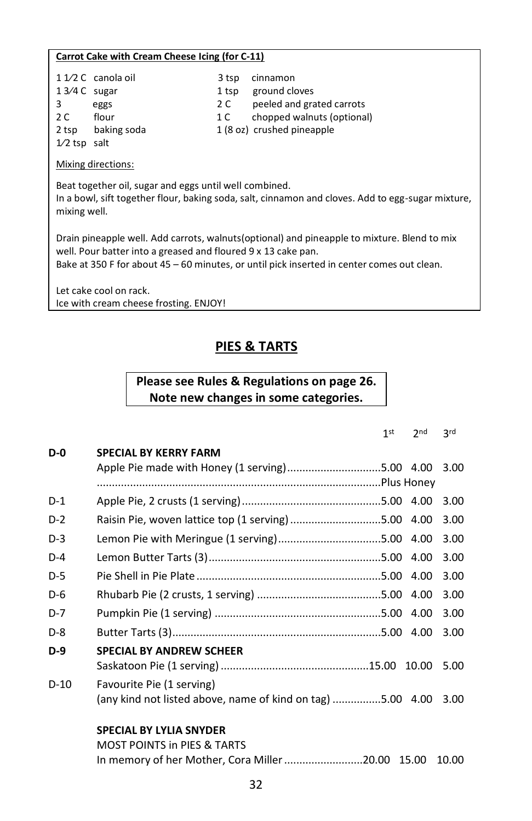#### **Carrot Cake with Cream Cheese Icing (for C-11)**

| $13/4C$ sugar<br>3<br>2 C<br>2 tsp<br>$1/2$ tsp salt                                                                                                                        | $11/2C$ canola oil<br>eggs<br>flour<br>baking soda | 3 tsp<br>1 tsp<br>2 C<br>1 C | cinnamon<br>ground cloves<br>peeled and grated carrots<br>chopped walnuts (optional)<br>1 (8 oz) crushed pineapple |  |  |  |
|-----------------------------------------------------------------------------------------------------------------------------------------------------------------------------|----------------------------------------------------|------------------------------|--------------------------------------------------------------------------------------------------------------------|--|--|--|
| Mixing directions:                                                                                                                                                          |                                                    |                              |                                                                                                                    |  |  |  |
| Beat together oil, sugar and eggs until well combined.<br>In a bowl, sift together flour, baking soda, salt, cinnamon and cloves. Add to egg-sugar mixture,<br>mixing well. |                                                    |                              |                                                                                                                    |  |  |  |
| Drain nineannle well. Add carrots, walnuts(ontional) and nineannle to mixture. Blend to mix                                                                                 |                                                    |                              |                                                                                                                    |  |  |  |

Drain pineapple well. Add carrots, walnuts(optional) and pineapple to mixture. Blend to mix well. Pour batter into a greased and floured 9 x 13 cake pan. Bake at 350 F for about 45 – 60 minutes, or until pick inserted in center comes out clean.

Let cake cool on rack. Ice with cream cheese frosting. ENJOY!

# **PIES & TARTS**

#### **Please see Rules & Regulations on page 26. Note new changes in some categories.**

|        |                                                            | 1 <sup>st</sup> | 2nd | <b>3rd</b> |
|--------|------------------------------------------------------------|-----------------|-----|------------|
| $D-0$  | <b>SPECIAL BY KERRY FARM</b>                               |                 |     |            |
|        | Apple Pie made with Honey (1 serving)5.00 4.00             |                 |     | 3.00       |
|        |                                                            |                 |     |            |
| $D-1$  |                                                            |                 |     | 3.00       |
| $D-2$  | Raisin Pie, woven lattice top (1 serving) 5.00 4.00        |                 |     | 3.00       |
| D-3    | Lemon Pie with Meringue (1 serving)5.00 4.00               |                 |     | 3.00       |
| $D-4$  |                                                            |                 |     | 3.00       |
| $D-5$  |                                                            |                 |     | 3.00       |
| D-6    |                                                            |                 |     | 3.00       |
| $D-7$  |                                                            |                 |     | 3.00       |
| $D-8$  |                                                            |                 |     | 3.00       |
| $D-9$  | <b>SPECIAL BY ANDREW SCHEER</b>                            |                 |     |            |
|        |                                                            |                 |     | 5.00       |
| $D-10$ | Favourite Pie (1 serving)                                  |                 |     |            |
|        | (any kind not listed above, name of kind on tag) 5.00 4.00 |                 |     | 3.00       |
|        | <b>SPECIAL BY LYLIA SNYDER</b>                             |                 |     |            |
|        | <b>MOST POINTS in PIES &amp; TARTS</b>                     |                 |     |            |

In memory of her Mother, Cora Miller..........................20.00 15.00 10.00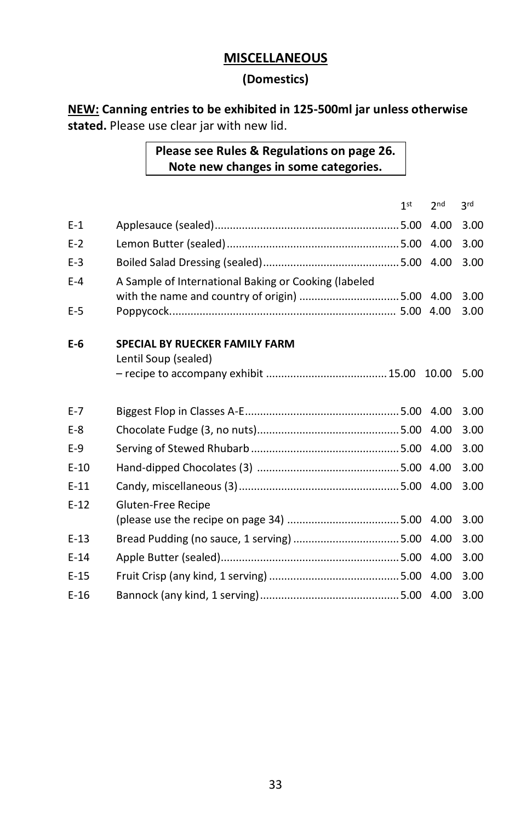## **MISCELLANEOUS**

#### **(Domestics)**

**NEW: Canning entries to be exhibited in 125-500ml jar unless otherwise stated.** Please use clear jar with new lid.

#### **Please see Rules & Regulations on page 26. Note new changes in some categories.**

|         |                                                      | 1 <sup>st</sup> | 2 <sub>nd</sub> | 3 <sub>rd</sub> |
|---------|------------------------------------------------------|-----------------|-----------------|-----------------|
| $E-1$   |                                                      |                 | 4.00            | 3.00            |
| $E-2$   |                                                      |                 | 4.00            | 3.00            |
| $E-3$   |                                                      |                 |                 | 3.00            |
| $E-4$   | A Sample of International Baking or Cooking (labeled |                 |                 |                 |
|         |                                                      |                 |                 | 3.00            |
| E-5     |                                                      |                 | 4.00            | 3.00            |
| E-6     | <b>SPECIAL BY RUECKER FAMILY FARM</b>                |                 |                 |                 |
|         | Lentil Soup (sealed)                                 |                 |                 |                 |
|         |                                                      |                 |                 | 5.00            |
| $E - 7$ |                                                      |                 |                 | 3.00            |
| $E-8$   |                                                      |                 |                 | 3.00            |
| $E-9$   |                                                      |                 |                 | 3.00            |
| $E-10$  |                                                      |                 |                 | 3.00            |
| $E-11$  |                                                      |                 |                 | 3.00            |
| $E-12$  | Gluten-Free Recipe                                   |                 |                 |                 |
|         |                                                      |                 |                 | 3.00            |
| $E-13$  |                                                      |                 |                 | 3.00            |
| $E-14$  |                                                      |                 | 4.00            | 3.00            |
| $E-15$  |                                                      |                 | 4.00            | 3.00            |
| $E-16$  |                                                      |                 |                 | 3.00            |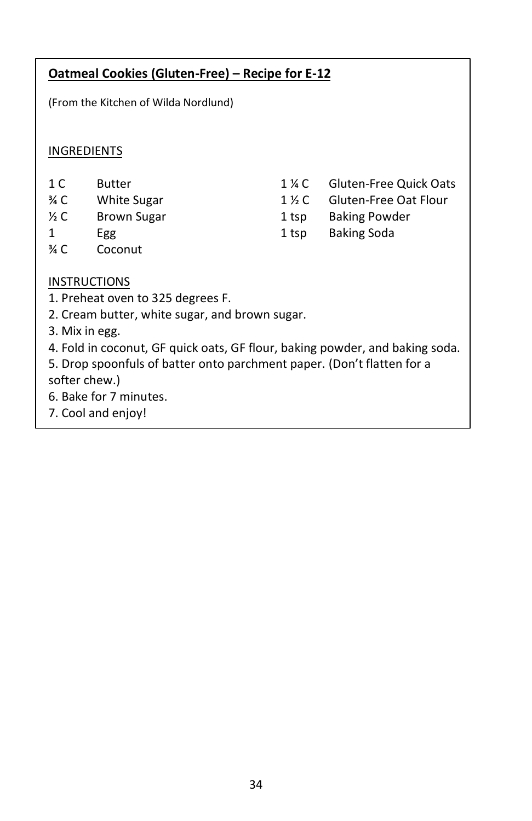(From the Kitchen of Wilda Nordlund)

#### INGREDIENTS

- 1 C Butter
- ¾ C White Sugar
- ½ C Brown Sugar
- 1 Egg
- ¾ C Coconut
- 1 ¼ C Gluten-Free Quick Oats
- 1 ½ C Gluten-Free Oat Flour
- 1 tsp Baking Powder
- 1 tsp Baking Soda

- INSTRUCTIONS
- 1. Preheat oven to 325 degrees F.
- 2. Cream butter, white sugar, and brown sugar.
- 3. Mix in egg.
- 4. Fold in coconut, GF quick oats, GF flour, baking powder, and baking soda.
- 5. Drop spoonfuls of batter onto parchment paper. (Don't flatten for a softer chew.)
- 6. Bake for 7 minutes.
- 7. Cool and enjoy!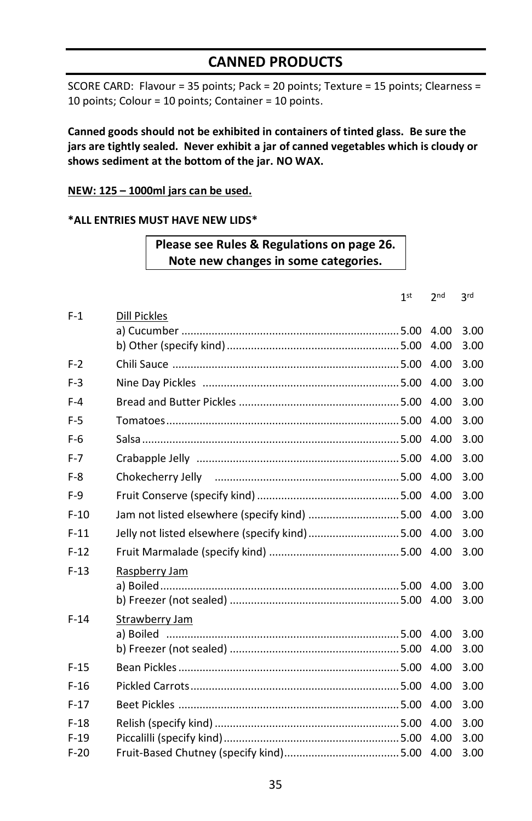## **CANNED PRODUCTS**

SCORE CARD: Flavour = 35 points; Pack = 20 points; Texture = 15 points; Clearness = 10 points; Colour = 10 points; Container = 10 points.

**Canned goods should not be exhibited in containers of tinted glass. Be sure the jars are tightly sealed. Never exhibit a jar of canned vegetables which is cloudy or shows sediment at the bottom of the jar. NO WAX.**

#### **NEW: 125 – 1000ml jars can be used.**

#### **\*ALL ENTRIES MUST HAVE NEW LIDS\***

#### **Please see Rules & Regulations on page 26. Note new changes in some categories.**

 $4<sup>et</sup>$ 

|        |                                                | 1 <sup>st</sup> | 2 <sub>nd</sub> | 3 <sub>rd</sub> |
|--------|------------------------------------------------|-----------------|-----------------|-----------------|
| $F-1$  | <b>Dill Pickles</b>                            |                 |                 |                 |
|        |                                                |                 | 4.00<br>4.00    | 3.00<br>3.00    |
|        |                                                |                 |                 |                 |
| $F-2$  |                                                |                 | 4.00            | 3.00            |
| $F-3$  |                                                |                 | 4.00            | 3.00            |
| $F-4$  |                                                |                 | 4.00            | 3.00            |
| $F-5$  |                                                |                 | 4.00            | 3.00            |
| $F-6$  |                                                |                 | 4.00            | 3.00            |
| $F-7$  |                                                |                 | 4.00            | 3.00            |
| $F-8$  |                                                |                 | 4.00            | 3.00            |
| $F-9$  |                                                |                 | 4.00            | 3.00            |
| $F-10$ | Jam not listed elsewhere (specify kind) 5.00   |                 | 4.00            | 3.00            |
| $F-11$ | Jelly not listed elsewhere (specify kind) 5.00 |                 | 4.00            | 3.00            |
| $F-12$ |                                                |                 |                 | 3.00            |
| $F-13$ | Raspberry Jam                                  |                 |                 |                 |
|        |                                                |                 | 4.00            | 3.00            |
|        |                                                |                 | 4.00            | 3.00            |
| $F-14$ | Strawberry Jam                                 |                 |                 |                 |
|        |                                                |                 | 4.00<br>4.00    | 3.00<br>3.00    |
|        |                                                |                 |                 |                 |
| $F-15$ |                                                |                 | 4.00            | 3.00            |
| $F-16$ |                                                |                 | 4.00            | 3.00            |
| $F-17$ |                                                |                 | 4.00            | 3.00            |
| $F-18$ |                                                |                 | 4.00            | 3.00            |
| $F-19$ |                                                |                 | 4.00            | 3.00            |
| $F-20$ |                                                |                 | 4.00            | 3.00            |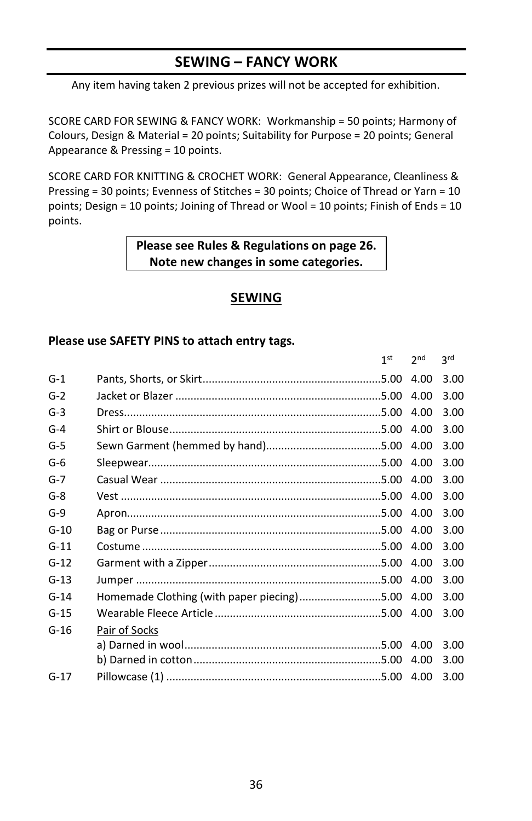## **SEWING – FANCY WORK**

Any item having taken 2 previous prizes will not be accepted for exhibition.

SCORE CARD FOR SEWING & FANCY WORK: Workmanship = 50 points; Harmony of Colours, Design & Material = 20 points; Suitability for Purpose = 20 points; General Appearance & Pressing = 10 points.

SCORE CARD FOR KNITTING & CROCHET WORK: General Appearance, Cleanliness & Pressing = 30 points; Evenness of Stitches = 30 points; Choice of Thread or Yarn = 10 points; Design = 10 points; Joining of Thread or Wool = 10 points; Finish of Ends = 10 points.

> **Please see Rules & Regulations on page 26. Note new changes in some categories.**

## **SEWING**

|        |                                                 | 1st | 2 <sub>nd</sub> | <b>2rd</b> |
|--------|-------------------------------------------------|-----|-----------------|------------|
| $G-1$  |                                                 |     | 4.00            | 3.00       |
| $G-2$  |                                                 |     | 4.00            | 3.00       |
| $G-3$  |                                                 |     | 4.00            | 3.00       |
| $G-4$  |                                                 |     | 4.00            | 3.00       |
| $G-5$  |                                                 |     |                 | 3.00       |
| $G-6$  |                                                 |     |                 | 3.00       |
| $G-7$  |                                                 |     |                 | 3.00       |
| $G-8$  |                                                 |     |                 | 3.00       |
| $G-9$  |                                                 |     | 4.00            | 3.00       |
| $G-10$ |                                                 |     |                 | 3.00       |
| $G-11$ |                                                 |     |                 | 3.00       |
| $G-12$ |                                                 |     |                 | 3.00       |
| $G-13$ |                                                 |     |                 | 3.00       |
| $G-14$ | Homemade Clothing (with paper piecing)5.00 4.00 |     |                 | 3.00       |
| $G-15$ |                                                 |     |                 | 3.00       |
| $G-16$ | Pair of Socks                                   |     |                 |            |
|        |                                                 |     | 4.00            | 3.00       |
|        |                                                 |     | 4.00            | 3.00       |
| $G-17$ |                                                 |     |                 | 3.00       |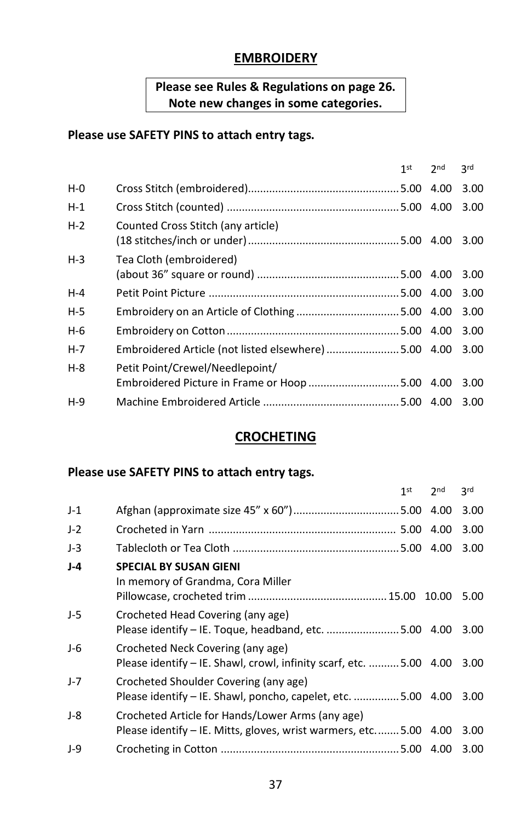## **EMBROIDERY**

## **Please see Rules & Regulations on page 26. Note new changes in some categories.**

#### **Please use SAFETY PINS to attach entry tags.**

|                                    | 1 <sup>st</sup> | 2 <sub>nd</sub> | <b>3rd</b>                                           |
|------------------------------------|-----------------|-----------------|------------------------------------------------------|
|                                    |                 |                 | 3.00                                                 |
|                                    |                 |                 | 3.00                                                 |
| Counted Cross Stitch (any article) |                 |                 | 3.00                                                 |
| Tea Cloth (embroidered)            |                 |                 |                                                      |
|                                    |                 |                 | 3.00                                                 |
|                                    |                 |                 | 3.00                                                 |
|                                    |                 |                 | 3.00                                                 |
|                                    |                 |                 | 3.00                                                 |
|                                    |                 |                 | 3.00                                                 |
| Petit Point/Crewel/Needlepoint/    |                 |                 |                                                      |
|                                    |                 |                 | 3.00                                                 |
|                                    |                 |                 | 3.00                                                 |
|                                    |                 |                 | Embroidered Article (not listed elsewhere) 5.00 4.00 |

## **CROCHETING**

|       |                                                                                                                       | 1 <sup>st</sup> | 2 <sub>nd</sub> | 3rd  |
|-------|-----------------------------------------------------------------------------------------------------------------------|-----------------|-----------------|------|
| $J-1$ |                                                                                                                       |                 |                 | 3.00 |
| $J-2$ |                                                                                                                       |                 |                 | 3.00 |
| $J-3$ |                                                                                                                       |                 |                 | 3.00 |
| $J-4$ | <b>SPECIAL BY SUSAN GIENI</b><br>In memory of Grandma, Cora Miller                                                    |                 |                 | 5.00 |
| J-5   | Crocheted Head Covering (any age)<br>Please identify - IE. Toque, headband, etc. 5.00 4.00                            |                 |                 | 3.00 |
| $J-6$ | Crocheted Neck Covering (any age)<br>Please identify – IE. Shawl, crowl, infinity scarf, etc.  5.00 4.00              |                 |                 | 3.00 |
| $J-7$ | Crocheted Shoulder Covering (any age)<br>Please identify – IE. Shawl, poncho, capelet, etc. 5.00 4.00                 |                 |                 | 3.00 |
| $J-8$ | Crocheted Article for Hands/Lower Arms (any age)<br>Please identify - IE. Mitts, gloves, wrist warmers, etc 5.00 4.00 |                 |                 | 3.00 |
| $J-9$ |                                                                                                                       |                 |                 | 3.00 |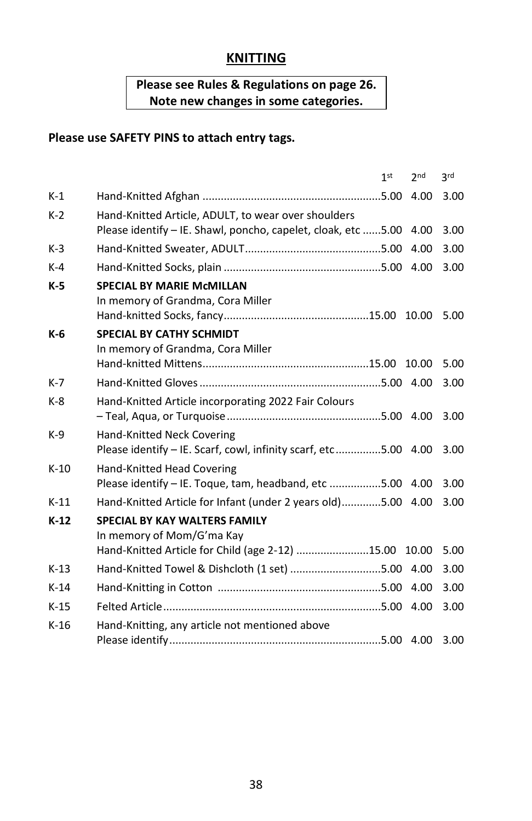## **KNITTING**

## **Please see Rules & Regulations on page 26. Note new changes in some categories.**

|        | 2 <sub>nd</sub><br>1 <sup>st</sup>                                                                                        | 3 <sub>rd</sub> |
|--------|---------------------------------------------------------------------------------------------------------------------------|-----------------|
| $K-1$  | 4.00                                                                                                                      | 3.00            |
| $K-2$  | Hand-Knitted Article, ADULT, to wear over shoulders<br>Please identify - IE. Shawl, poncho, capelet, cloak, etc 5.00 4.00 | 3.00            |
| $K-3$  | 4.00                                                                                                                      | 3.00            |
| $K-4$  |                                                                                                                           | 3.00            |
| $K-5$  | <b>SPECIAL BY MARIE McMILLAN</b><br>In memory of Grandma, Cora Miller                                                     | 5.00            |
| K-6    | <b>SPECIAL BY CATHY SCHMIDT</b><br>In memory of Grandma, Cora Miller                                                      | 5.00            |
| $K-7$  |                                                                                                                           | 3.00            |
| $K-8$  | Hand-Knitted Article incorporating 2022 Fair Colours                                                                      | 3.00            |
| $K-9$  | Hand-Knitted Neck Covering<br>Please identify - IE. Scarf, cowl, infinity scarf, etc5.00 4.00                             | 3.00            |
| $K-10$ | Hand-Knitted Head Covering<br>Please identify - IE. Toque, tam, headband, etc 5.00 4.00                                   | 3.00            |
| $K-11$ | Hand-Knitted Article for Infant (under 2 years old)5.00 4.00                                                              | 3.00            |
| $K-12$ | <b>SPECIAL BY KAY WALTERS FAMILY</b><br>In memory of Mom/G'ma Kay                                                         |                 |
|        | Hand-Knitted Article for Child (age 2-12) 15.00 10.00                                                                     | 5.00            |
| $K-13$ | Hand-Knitted Towel & Dishcloth (1 set) 5.00 4.00                                                                          | 3.00            |
| $K-14$ |                                                                                                                           | 3.00            |
| $K-15$ |                                                                                                                           | 3.00            |
| $K-16$ | Hand-Knitting, any article not mentioned above                                                                            | 3.00            |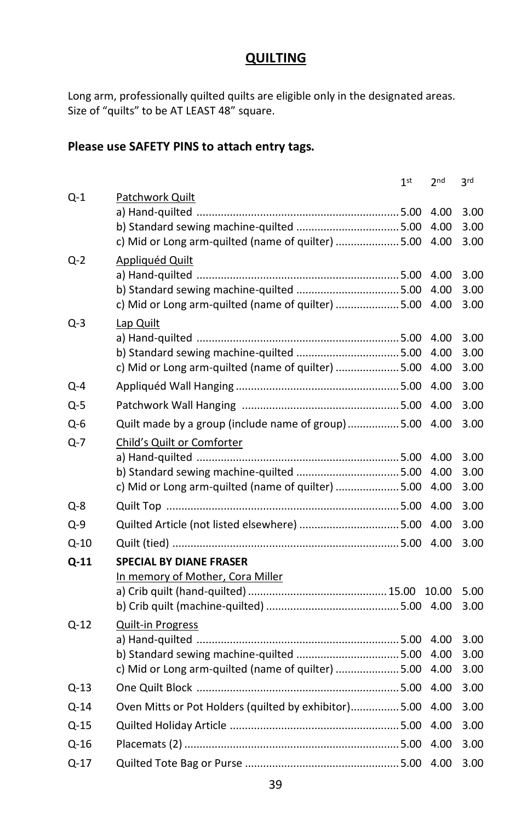#### **QUILTING**

Long arm, professionally quilted quilts are eligible only in the designated areas. Size of "quilts" to be AT LEAST 48" square.

|          |                                                                                               | 1 <sup>st</sup> | 2 <sub>nd</sub> | 3rd          |
|----------|-----------------------------------------------------------------------------------------------|-----------------|-----------------|--------------|
| Q-1      | Patchwork Quilt                                                                               |                 |                 |              |
|          |                                                                                               |                 | 4.00            | 3.00         |
|          | b) Standard sewing machine-quilted 5.00<br>c) Mid or Long arm-quilted (name of quilter)  5.00 |                 | 4.00<br>4.00    | 3.00<br>3.00 |
|          |                                                                                               |                 |                 |              |
| $Q-2$    | <b>Appliquéd Quilt</b>                                                                        |                 | 4.00            | 3.00         |
|          | b) Standard sewing machine-quilted  5.00                                                      |                 | 4.00            | 3.00         |
|          | c) Mid or Long arm-quilted (name of quilter)  5.00                                            |                 | 4.00            | 3.00         |
| Q-3      | Lap Quilt                                                                                     |                 |                 |              |
|          |                                                                                               |                 | 4.00            | 3.00         |
|          |                                                                                               |                 | 4.00            | 3.00         |
|          | c) Mid or Long arm-quilted (name of quilter)  5.00                                            |                 | 4.00            | 3.00         |
| Q-4      |                                                                                               |                 | 4.00            | 3.00         |
| Q-5      |                                                                                               |                 | 4.00            | 3.00         |
| Q-6      | Quilt made by a group (include name of group)5.00                                             |                 | 4.00            | 3.00         |
| Q-7      | Child's Quilt or Comforter                                                                    |                 |                 |              |
|          |                                                                                               |                 | 4.00            | 3.00         |
|          |                                                                                               |                 | 4.00            | 3.00         |
|          | c) Mid or Long arm-quilted (name of quilter)  5.00                                            |                 | 4.00            | 3.00         |
| Q-8      |                                                                                               |                 | 4.00            | 3.00         |
| $Q-9$    | Quilted Article (not listed elsewhere)  5.00                                                  |                 | 4.00            | 3.00         |
| $Q - 10$ |                                                                                               |                 | 4.00            | 3.00         |
| $Q-11$   | <b>SPECIAL BY DIANE FRASER</b>                                                                |                 |                 |              |
|          | In memory of Mother, Cora Miller                                                              |                 |                 |              |
|          |                                                                                               |                 | 10.00           | 5.00         |
|          |                                                                                               |                 | 4.00            | 3.00         |
| Q-12     | <b>Quilt-in Progress</b>                                                                      |                 |                 |              |
|          |                                                                                               |                 | 4.00<br>4.00    | 3.00<br>3.00 |
|          | c) Mid or Long arm-quilted (name of quilter)  5.00                                            |                 | 4.00            | 3.00         |
| $Q-13$   |                                                                                               |                 | 4.00            | 3.00         |
| $Q-14$   | Oven Mitts or Pot Holders (quilted by exhibitor)5.00                                          |                 | 4.00            | 3.00         |
| Q-15     |                                                                                               |                 | 4.00            | 3.00         |
| Q-16     |                                                                                               |                 | 4.00            | 3.00         |
| $Q-17$   |                                                                                               |                 | 4.00            | 3.00         |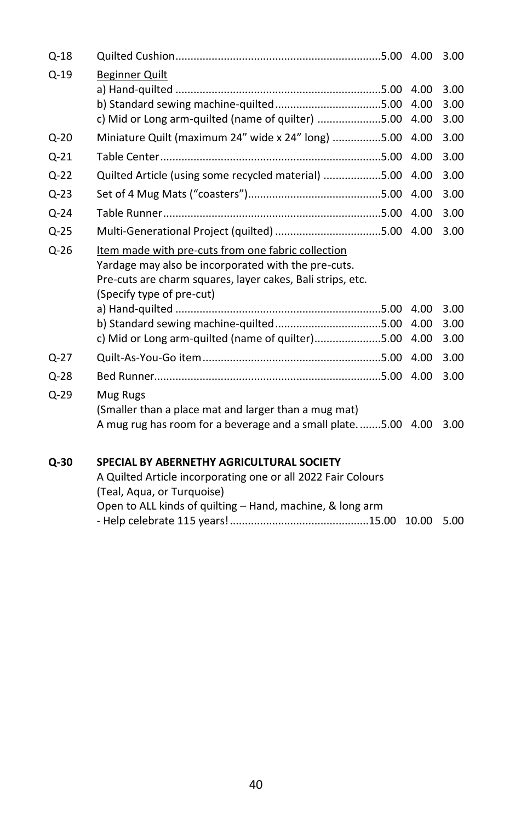| $Q-18$   |                                                                                                                                                                                                                                                |                      | 3.00                 |
|----------|------------------------------------------------------------------------------------------------------------------------------------------------------------------------------------------------------------------------------------------------|----------------------|----------------------|
| $Q-19$   | <b>Beginner Quilt</b><br>c) Mid or Long arm-quilted (name of quilter) 5.00                                                                                                                                                                     | 4.00<br>4.00<br>4.00 | 3.00<br>3.00<br>3.00 |
| $Q - 20$ | Miniature Quilt (maximum 24" wide x 24" long) 5.00                                                                                                                                                                                             | 4.00                 | 3.00                 |
| $Q-21$   |                                                                                                                                                                                                                                                | 4.00                 | 3.00                 |
| $Q - 22$ | Quilted Article (using some recycled material) 5.00                                                                                                                                                                                            | 4.00                 | 3.00                 |
| $Q - 23$ |                                                                                                                                                                                                                                                | 4.00                 | 3.00                 |
| $Q - 24$ |                                                                                                                                                                                                                                                | 4.00                 | 3.00                 |
| $Q-25$   |                                                                                                                                                                                                                                                | 4.00                 | 3.00                 |
| $Q - 26$ | Item made with pre-cuts from one fabric collection<br>Yardage may also be incorporated with the pre-cuts.<br>Pre-cuts are charm squares, layer cakes, Bali strips, etc.<br>(Specify type of pre-cut)<br>b) Standard sewing machine-quilted5.00 | 4.00<br>4.00         | 3.00<br>3.00         |
|          | c) Mid or Long arm-quilted (name of quilter)5.00                                                                                                                                                                                               | 4.00                 | 3.00                 |
| $Q - 27$ |                                                                                                                                                                                                                                                | 4.00                 | 3.00                 |
| $Q - 28$ |                                                                                                                                                                                                                                                | 4.00                 | 3.00                 |
| $Q - 29$ | Mug Rugs<br>(Smaller than a place mat and larger than a mug mat)<br>A mug rug has room for a beverage and a small plate5.00 4.00                                                                                                               |                      | 3.00                 |
| Q-30     | SPECIAL BY ABERNETHY AGRICULTURAL SOCIETY                                                                                                                                                                                                      |                      |                      |

| A Quilted Article incorporating one or all 2022 Fair Colours |  |
|--------------------------------------------------------------|--|
| (Teal, Agua, or Turguoise)                                   |  |
| Open to ALL kinds of quilting – Hand, machine, & long arm    |  |
|                                                              |  |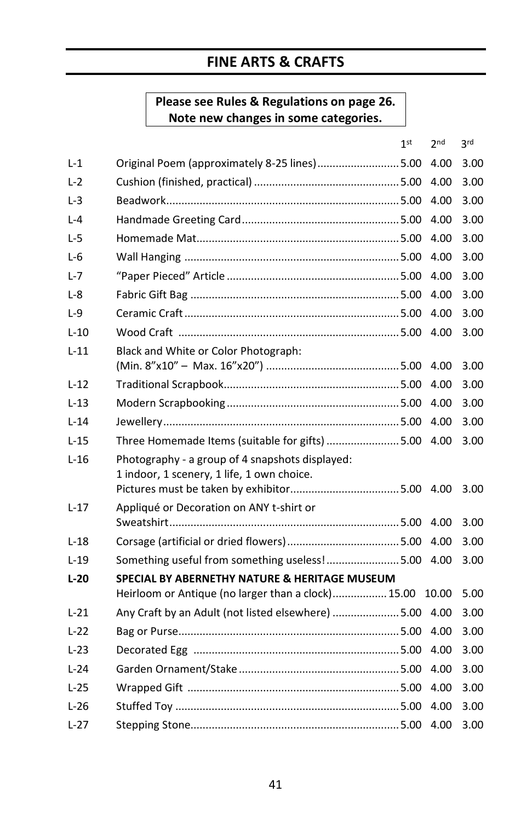# **FINE ARTS & CRAFTS**

## **Please see Rules & Regulations on page 26. Note new changes in some categories.**

|          |                                                                                               | 1 <sup>st</sup> | 2 <sub>nd</sub> | 3 <sup>rd</sup> |
|----------|-----------------------------------------------------------------------------------------------|-----------------|-----------------|-----------------|
| L-1      | Original Poem (approximately 8-25 lines)5.00                                                  |                 | 4.00            | 3.00            |
| $L-2$    |                                                                                               |                 | 4.00            | 3.00            |
| L-3      |                                                                                               |                 | 4.00            | 3.00            |
| $L - 4$  |                                                                                               |                 | 4.00            | 3.00            |
| L-5      |                                                                                               |                 | 4.00            | 3.00            |
| L-6      |                                                                                               |                 | 4.00            | 3.00            |
| L-7      |                                                                                               |                 | 4.00            | 3.00            |
| L-8      |                                                                                               |                 | 4.00            | 3.00            |
| $L-9$    |                                                                                               |                 | 4.00            | 3.00            |
| $L-10$   |                                                                                               |                 | 4.00            | 3.00            |
| $L-11$   | Black and White or Color Photograph:                                                          |                 | 4.00            | 3.00            |
| $L-12$   |                                                                                               |                 | 4.00            | 3.00            |
| $L - 13$ |                                                                                               |                 | 4.00            | 3.00            |
| $L-14$   |                                                                                               |                 | 4.00            | 3.00            |
| $L-15$   | Three Homemade Items (suitable for gifts) 5.00 4.00                                           |                 |                 | 3.00            |
| $L-16$   | Photography - a group of 4 snapshots displayed:<br>1 indoor, 1 scenery, 1 life, 1 own choice. |                 |                 | 3.00            |
| $L-17$   | Appliqué or Decoration on ANY t-shirt or                                                      |                 | 4.00            | 3.00            |
| $L-18$   |                                                                                               |                 |                 | 3.00            |
| $L-19$   | Something useful from something useless!5.00                                                  |                 | 4.00            | 3.00            |
| $L-20$   | <b>SPECIAL BY ABERNETHY NATURE &amp; HERITAGE MUSEUM</b>                                      |                 |                 |                 |
|          | Heirloom or Antique (no larger than a clock) 15.00                                            |                 | 10.00           | 5.00            |
| $L-21$   | Any Craft by an Adult (not listed elsewhere) 5.00 4.00                                        |                 |                 | 3.00            |
| $L-22$   |                                                                                               |                 | 4.00            | 3.00            |
| $L-23$   |                                                                                               |                 | 4.00            | 3.00            |
| $L-24$   |                                                                                               |                 | 4.00            | 3.00            |
| $L-25$   |                                                                                               |                 | 4.00            | 3.00            |
| $L-26$   |                                                                                               |                 | 4.00            | 3.00            |
| $L-27$   |                                                                                               |                 | 4.00            | 3.00            |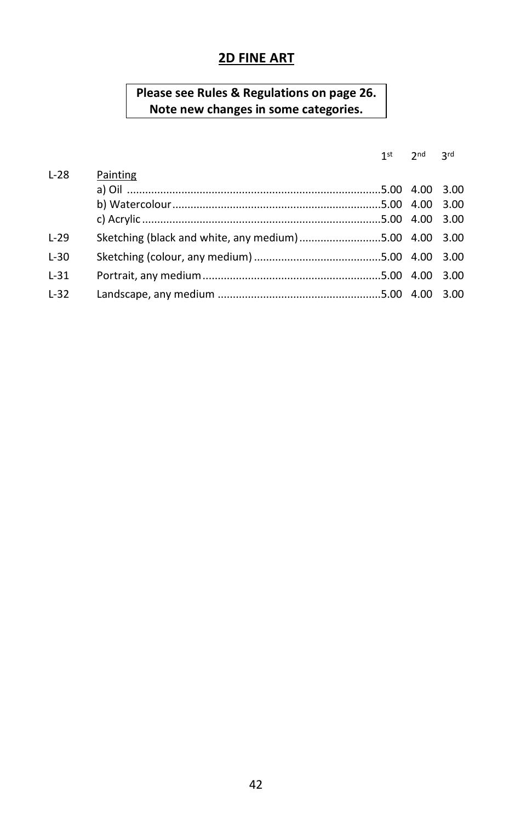#### **2D FINE ART**

#### **Please see Rules & Regulations on page 26. Note new changes in some categories.**

#### $1<sup>st</sup>$   $2<sup>nd</sup>$   $3<sup>rd</sup>$

| $L-28$ | Painting                                               |  |
|--------|--------------------------------------------------------|--|
|        |                                                        |  |
|        |                                                        |  |
|        |                                                        |  |
| $L-29$ | Sketching (black and white, any medium) 5.00 4.00 3.00 |  |
| $L-30$ |                                                        |  |
| $L-31$ |                                                        |  |
| $L-32$ |                                                        |  |
|        |                                                        |  |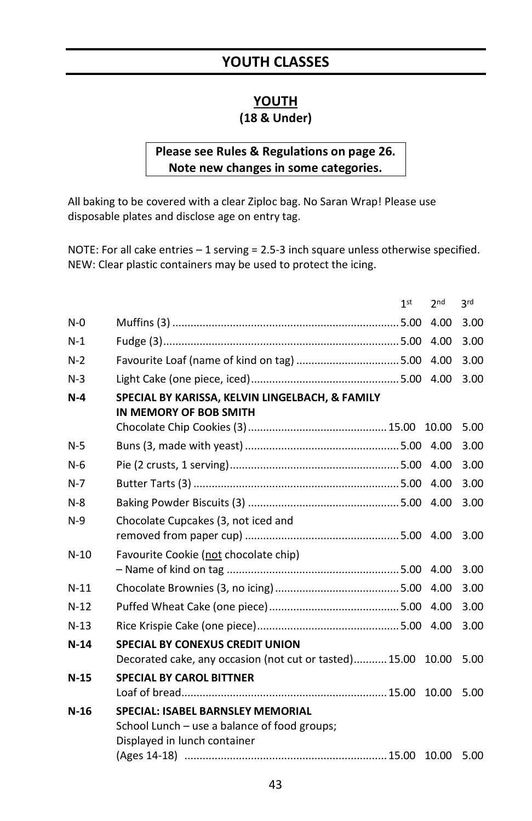# **YOUTH CLASSES**

#### **YOUTH**

## **(18 & Under)**

#### **Please see Rules & Regulations on page 26. Note new changes in some categories.**

All baking to be covered with a clear Ziploc bag. No Saran Wrap! Please use disposable plates and disclose age on entry tag.

NOTE: For all cake entries – 1 serving = 2.5-3 inch square unless otherwise specified. NEW: Clear plastic containers may be used to protect the icing.

|        |                                                                                                                          | 1 <sup>st</sup> | 2 <sub>nd</sub> | 3 <sub>rd</sub> |
|--------|--------------------------------------------------------------------------------------------------------------------------|-----------------|-----------------|-----------------|
| $N-0$  |                                                                                                                          |                 | 4.00            | 3.00            |
| $N-1$  |                                                                                                                          |                 | 4.00            | 3.00            |
| $N-2$  | Favourite Loaf (name of kind on tag) 5.00                                                                                |                 | 4.00            | 3.00            |
| $N-3$  |                                                                                                                          |                 |                 | 3.00            |
| $N-4$  | SPECIAL BY KARISSA, KELVIN LINGELBACH, & FAMILY<br>IN MEMORY OF BOB SMITH                                                |                 |                 | 5.00            |
| $N-5$  |                                                                                                                          |                 |                 | 3.00            |
| $N-6$  |                                                                                                                          |                 |                 | 3.00            |
| $N-7$  |                                                                                                                          |                 | 4.00            | 3.00            |
| $N-8$  |                                                                                                                          |                 |                 | 3.00            |
| $N-9$  | Chocolate Cupcakes (3, not iced and                                                                                      |                 |                 | 3.00            |
| $N-10$ | Favourite Cookie (not chocolate chip)                                                                                    |                 |                 | 3.00            |
| $N-11$ |                                                                                                                          |                 |                 | 3.00            |
| $N-12$ |                                                                                                                          |                 |                 | 3.00            |
| $N-13$ |                                                                                                                          |                 |                 | 3.00            |
| $N-14$ | <b>SPECIAL BY CONEXUS CREDIT UNION</b><br>Decorated cake, any occasion (not cut or tasted)15.00 10.00                    |                 |                 | 5.00            |
| $N-15$ | <b>SPECIAL BY CAROL BITTNER</b>                                                                                          |                 | 10.00           | 5.00            |
| $N-16$ | <b>SPECIAL: ISABEL BARNSLEY MEMORIAL</b><br>School Lunch – use a balance of food groups;<br>Displayed in lunch container |                 |                 | 5.00            |
|        |                                                                                                                          |                 |                 |                 |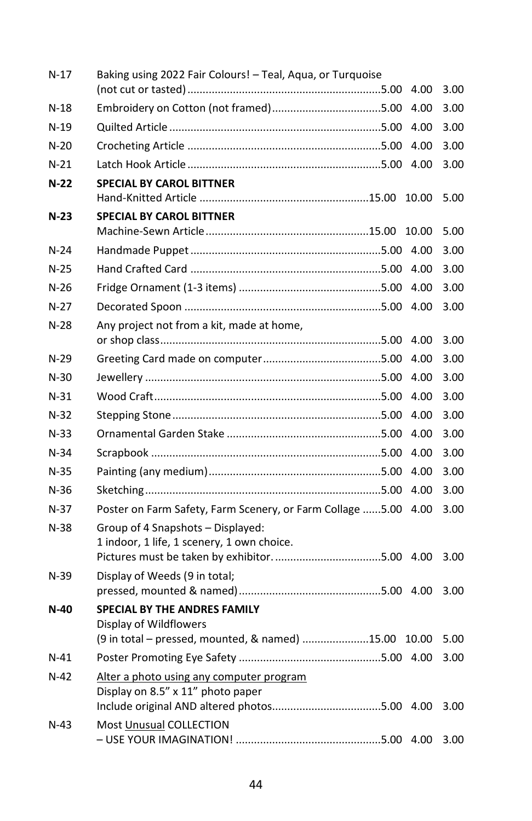| N-17   | Baking using 2022 Fair Colours! - Teal, Aqua, or Turquoise     |       |      |
|--------|----------------------------------------------------------------|-------|------|
|        |                                                                | 4.00  | 3.00 |
| $N-18$ |                                                                | 4.00  | 3.00 |
| $N-19$ |                                                                | 4.00  | 3.00 |
| $N-20$ |                                                                | 4.00  | 3.00 |
| $N-21$ |                                                                | 4.00  | 3.00 |
| $N-22$ | <b>SPECIAL BY CAROL BITTNER</b>                                | 10.00 | 5.00 |
| $N-23$ | <b>SPECIAL BY CAROL BITTNER</b>                                |       |      |
|        |                                                                | 10.00 | 5.00 |
| $N-24$ |                                                                |       | 3.00 |
| $N-25$ |                                                                |       | 3.00 |
| $N-26$ |                                                                | 4.00  | 3.00 |
| $N-27$ |                                                                |       | 3.00 |
| $N-28$ | Any project not from a kit, made at home,                      |       |      |
|        |                                                                | 4.00  | 3.00 |
| N-29   |                                                                | 4.00  | 3.00 |
| $N-30$ |                                                                | 4.00  | 3.00 |
| $N-31$ |                                                                | 4.00  | 3.00 |
| $N-32$ |                                                                | 4.00  | 3.00 |
| $N-33$ |                                                                | 4.00  | 3.00 |
| $N-34$ |                                                                | 4.00  | 3.00 |
| $N-35$ |                                                                | 4.00  | 3.00 |
| $N-36$ |                                                                | 4.00  | 3.00 |
| $N-37$ | Poster on Farm Safety, Farm Scenery, or Farm Collage 5.00 4.00 |       | 3.00 |
| N-38   | Group of 4 Snapshots - Displayed:                              |       |      |
|        | 1 indoor, 1 life, 1 scenery, 1 own choice.                     |       |      |
|        |                                                                |       | 3.00 |
| $N-39$ | Display of Weeds (9 in total;                                  |       | 3.00 |
| N-40   | <b>SPECIAL BY THE ANDRES FAMILY</b>                            |       |      |
|        | Display of Wildflowers                                         |       |      |
|        | (9 in total - pressed, mounted, & named) 15.00 10.00           |       | 5.00 |
| $N-41$ |                                                                |       | 3.00 |
| $N-42$ | Alter a photo using any computer program                       |       |      |
|        | Display on 8.5" x 11" photo paper                              |       |      |
|        |                                                                |       | 3.00 |
| $N-43$ | Most Unusual COLLECTION                                        |       | 3.00 |
|        |                                                                |       |      |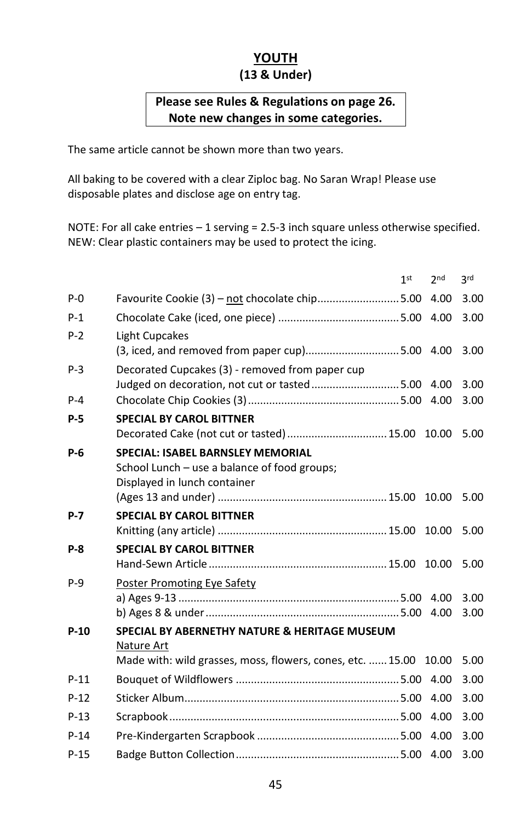#### **YOUTH (13 & Under)**

#### **Please see Rules & Regulations on page 26. Note new changes in some categories.**

The same article cannot be shown more than two years.

All baking to be covered with a clear Ziploc bag. No Saran Wrap! Please use disposable plates and disclose age on entry tag.

NOTE: For all cake entries – 1 serving = 2.5-3 inch square unless otherwise specified. NEW: Clear plastic containers may be used to protect the icing.

|            |                                                                                                                                            | 1st | 2nd   | 2rd          |
|------------|--------------------------------------------------------------------------------------------------------------------------------------------|-----|-------|--------------|
| $P - Q$    | Favourite Cookie (3) - not chocolate chip5.00                                                                                              |     | 4.00  | 3.00         |
| $P-1$      |                                                                                                                                            |     |       | 3.00         |
| $P-2$      | Light Cupcakes                                                                                                                             |     |       | 3.00         |
| $P-3$      | Decorated Cupcakes (3) - removed from paper cup<br>Judged on decoration, not cut or tasted5.00 4.00                                        |     |       | 3.00         |
| $P - 4$    |                                                                                                                                            |     |       | 3.00         |
| $P-5$      | <b>SPECIAL BY CAROL BITTNER</b><br>Decorated Cake (not cut or tasted)  15.00 10.00                                                         |     |       | 5.00         |
| $P-6$      | <b>SPECIAL: ISABEL BARNSLEY MEMORIAL</b><br>School Lunch – use a balance of food groups;<br>Displayed in lunch container                   |     | 10.00 | 5.00         |
| P-7        | <b>SPECIAL BY CAROL BITTNER</b>                                                                                                            |     | 10.00 | 5.00         |
| <b>P-8</b> | <b>SPECIAL BY CAROL BITTNER</b>                                                                                                            |     | 10.00 | 5.00         |
| $P-9$      | Poster Promoting Eye Safety                                                                                                                |     |       | 3.00<br>3.00 |
| $P-10$     | <b>SPECIAL BY ABERNETHY NATURE &amp; HERITAGE MUSEUM</b><br>Nature Art<br>Made with: wild grasses, moss, flowers, cones, etc.  15.00 10.00 |     |       | 5.00         |
| $P-11$     |                                                                                                                                            |     |       | 3.00         |
| $P-12$     |                                                                                                                                            |     | 4.00  | 3.00         |
| $P-13$     |                                                                                                                                            |     | 4.00  | 3.00         |
| $P-14$     |                                                                                                                                            |     | 4.00  | 3.00         |
| $P-15$     |                                                                                                                                            |     |       | 3.00         |
|            |                                                                                                                                            |     |       |              |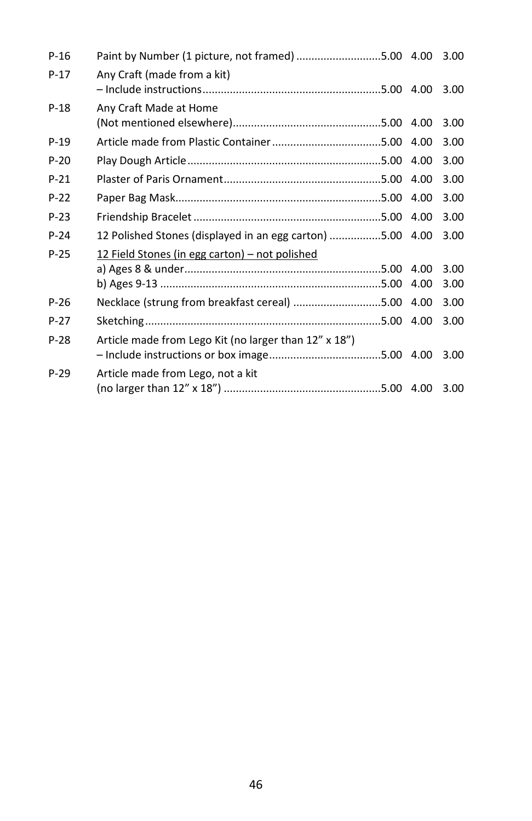| $P-16$ | Paint by Number (1 picture, not framed) 5.00 4.00         |      | 3.00 |
|--------|-----------------------------------------------------------|------|------|
| $P-17$ | Any Craft (made from a kit)                               |      | 3.00 |
| $P-18$ | Any Craft Made at Home                                    | 4.00 | 3.00 |
| $P-19$ |                                                           | 4.00 | 3.00 |
| $P-20$ |                                                           | 4.00 | 3.00 |
| $P-21$ |                                                           | 4.00 | 3.00 |
| $P-22$ |                                                           | 4.00 | 3.00 |
| $P-23$ |                                                           | 4.00 | 3.00 |
| $P-24$ | 12 Polished Stones (displayed in an egg carton) 5.00 4.00 |      | 3.00 |
| $P-25$ | 12 Field Stones (in egg carton) - not polished            |      |      |
|        |                                                           | 4.00 | 3.00 |
|        |                                                           | 4.00 | 3.00 |
| $P-26$ | Necklace (strung from breakfast cereal) 5.00 4.00         |      | 3.00 |
| $P-27$ |                                                           | 4.00 | 3.00 |
| $P-28$ | Article made from Lego Kit (no larger than 12" x 18")     |      | 3.00 |
| $P-29$ | Article made from Lego, not a kit                         |      | 3.00 |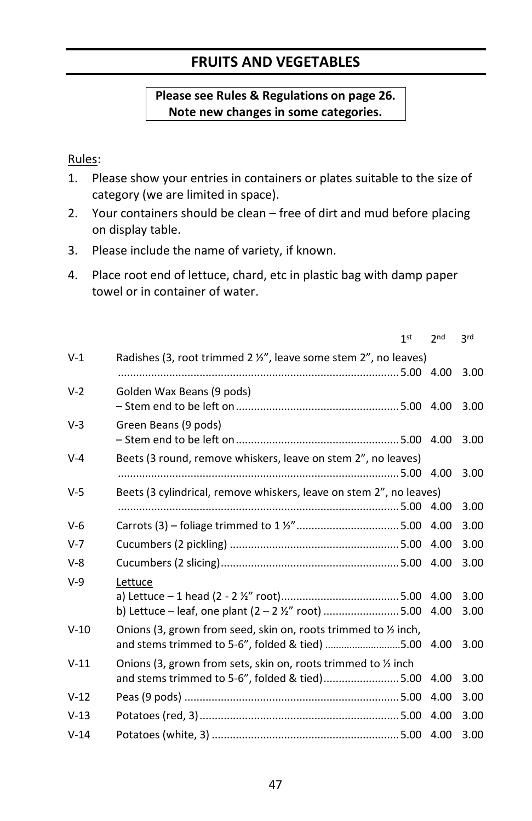# **FRUITS AND VEGETABLES**

#### **Please see Rules & Regulations on page 26. Note new changes in some categories.**

#### Rules:

- 1. Please show your entries in containers or plates suitable to the size of category (we are limited in space).
- 2. Your containers should be clean free of dirt and mud before placing on display table.
- 3. Please include the name of variety, if known.
- 4. Place root end of lettuce, chard, etc in plastic bag with damp paper towel or in container of water.

|         |                                                                                                                        | 1 <sup>st</sup> | 2 <sub>nd</sub> | <b>3rd</b>   |
|---------|------------------------------------------------------------------------------------------------------------------------|-----------------|-----------------|--------------|
| $V-1$   | Radishes (3, root trimmed 2 $\frac{1}{2}$ , leave some stem 2", no leaves)                                             |                 |                 | 3.00         |
| $V-2$   | Golden Wax Beans (9 pods)                                                                                              |                 |                 | 3.00         |
| $V-3$   | Green Beans (9 pods)                                                                                                   |                 |                 | 3.00         |
| $V - 4$ | Beets (3 round, remove whiskers, leave on stem 2", no leaves)                                                          |                 |                 | 3.00         |
| $V-5$   | Beets (3 cylindrical, remove whiskers, leave on stem 2", no leaves)                                                    |                 |                 | 3.00         |
| $V-6$   |                                                                                                                        |                 | 4.00            | 3.00         |
| $V-7$   |                                                                                                                        |                 | 4.00            | 3.00         |
| $V-8$   |                                                                                                                        |                 |                 | 3.00         |
| $V-9$   | Lettuce<br>b) Lettuce - leaf, one plant $(2 - 2 \frac{1}{2})$ " root) 5.00 4.00                                        |                 |                 | 3.00<br>3.00 |
| $V-10$  | Onions (3, grown from seed, skin on, roots trimmed to 1/2 inch,<br>and stems trimmed to 5-6", folded & tied) 5.00 4.00 |                 |                 | 3.00         |
| $V-11$  | Onions (3, grown from sets, skin on, roots trimmed to 1/2 inch<br>and stems trimmed to 5-6", folded & tied)5.00        |                 | 4.00            | 3.00         |
| $V-12$  |                                                                                                                        |                 | 4.00            | 3.00         |
| $V-13$  |                                                                                                                        |                 | 4.00            | 3.00         |
| $V-14$  |                                                                                                                        |                 |                 | 3.00         |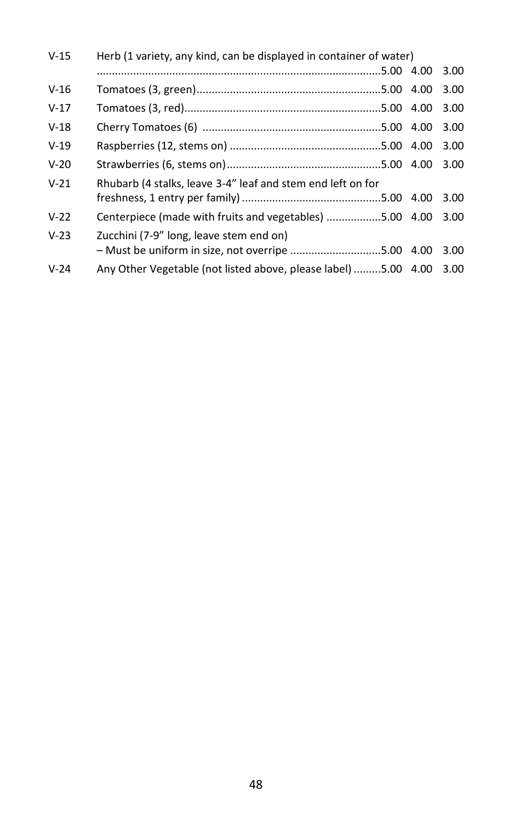| Herb (1 variety, any kind, can be displayed in container of water)<br>$V-15$ |                                                                |  |      |
|------------------------------------------------------------------------------|----------------------------------------------------------------|--|------|
|                                                                              |                                                                |  | 3.00 |
| $V-16$                                                                       |                                                                |  | 3.00 |
| $V-17$                                                                       |                                                                |  | 3.00 |
| $V-18$                                                                       |                                                                |  | 3.00 |
| $V-19$                                                                       |                                                                |  | 3.00 |
| $V-20$                                                                       |                                                                |  | 3.00 |
| $V-21$                                                                       | Rhubarb (4 stalks, leave 3-4" leaf and stem end left on for    |  |      |
|                                                                              |                                                                |  | 3.00 |
| $V-22$                                                                       | Centerpiece (made with fruits and vegetables) 5.00 4.00        |  | 3.00 |
| $V-23$                                                                       | Zucchini (7-9" long, leave stem end on)                        |  |      |
|                                                                              | - Must be uniform in size, not overripe 5.00 4.00              |  | 3.00 |
| $V-24$                                                                       | Any Other Vegetable (not listed above, please label) 5.00 4.00 |  | 3.00 |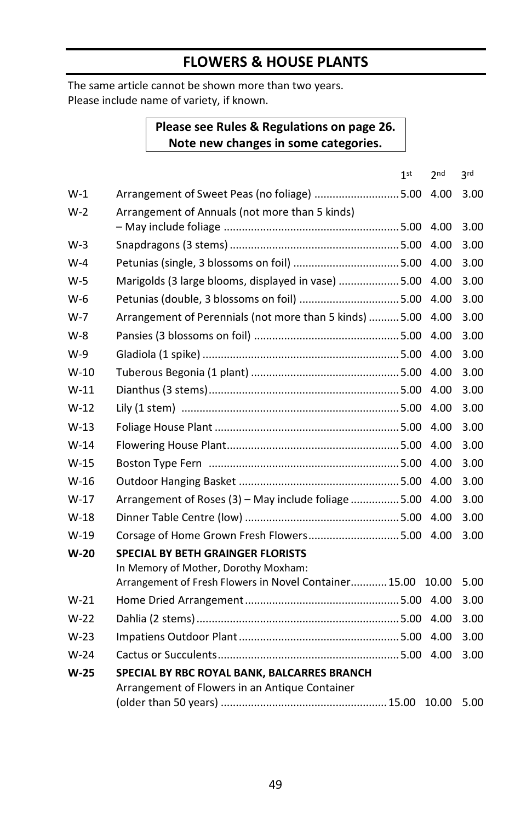# **FLOWERS & HOUSE PLANTS**

The same article cannot be shown more than two years. Please include name of variety, if known.

#### **Please see Rules & Regulations on page 26. Note new changes in some categories.**

|        | 1 <sub>st</sub>                                                                                                                           | 2 <sub>nd</sub> | <b>3rd</b> |
|--------|-------------------------------------------------------------------------------------------------------------------------------------------|-----------------|------------|
| W-1    | Arrangement of Sweet Peas (no foliage) 5.00                                                                                               | 4.00            | 3.00       |
| $W-2$  | Arrangement of Annuals (not more than 5 kinds)                                                                                            | 4.00            | 3.00       |
| $W-3$  |                                                                                                                                           | 4.00            | 3.00       |
| $W-4$  |                                                                                                                                           | 4.00            | 3.00       |
| $W-5$  | Marigolds (3 large blooms, displayed in vase) 5.00                                                                                        | 4.00            | 3.00       |
| W-6    | Petunias (double, 3 blossoms on foil) 5.00                                                                                                | 4.00            | 3.00       |
| $W-7$  | Arrangement of Perennials (not more than 5 kinds)  5.00                                                                                   | 4.00            | 3.00       |
| W-8    |                                                                                                                                           | 4.00            | 3.00       |
| W-9    |                                                                                                                                           | 4.00            | 3.00       |
| $W-10$ |                                                                                                                                           | 4.00            | 3.00       |
| $W-11$ |                                                                                                                                           | 4.00            | 3.00       |
| $W-12$ |                                                                                                                                           | 4.00            | 3.00       |
| $W-13$ |                                                                                                                                           | 4.00            | 3.00       |
| $W-14$ |                                                                                                                                           | 4.00            | 3.00       |
| $W-15$ |                                                                                                                                           | 4.00            | 3.00       |
| W-16   |                                                                                                                                           | 4.00            | 3.00       |
| $W-17$ | Arrangement of Roses (3) - May include foliage  5.00                                                                                      | 4.00            | 3.00       |
| $W-18$ |                                                                                                                                           | 4.00            | 3.00       |
| $W-19$ |                                                                                                                                           | 4.00            | 3.00       |
| $W-20$ | <b>SPECIAL BY BETH GRAINGER FLORISTS</b><br>In Memory of Mother, Dorothy Moxham:<br>Arrangement of Fresh Flowers in Novel Container 15.00 | 10.00           | 5.00       |
| $W-21$ |                                                                                                                                           | 4.00            | 3.00       |
| $W-22$ |                                                                                                                                           | 4.00            | 3.00       |
| $W-23$ |                                                                                                                                           | 4.00            | 3.00       |
| $W-24$ |                                                                                                                                           | 4.00            | 3.00       |
| W-25   | SPECIAL BY RBC ROYAL BANK, BALCARRES BRANCH                                                                                               |                 |            |
|        | Arrangement of Flowers in an Antique Container                                                                                            | 10.00           | 5.00       |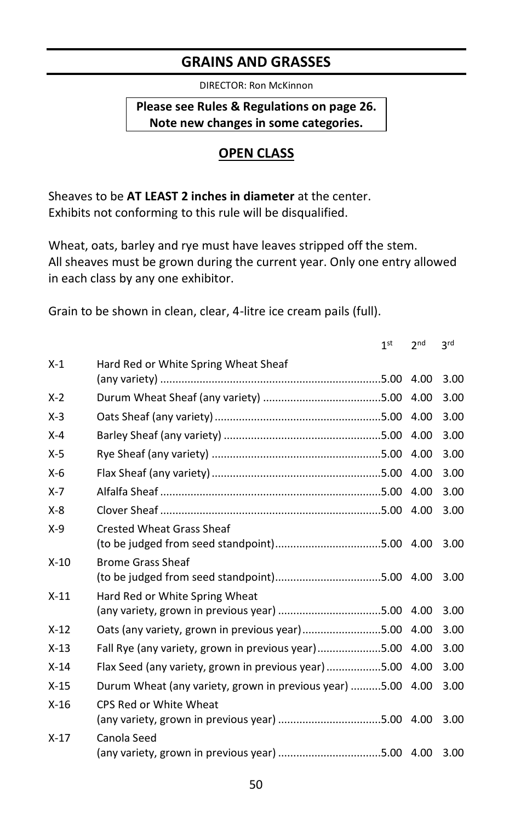#### **GRAINS AND GRASSES**

DIRECTOR: Ron McKinnon

**Please see Rules & Regulations on page 26. Note new changes in some categories.** 

## **OPEN CLASS**

Sheaves to be **AT LEAST 2 inches in diameter** at the center. Exhibits not conforming to this rule will be disqualified.

Wheat, oats, barley and rye must have leaves stripped off the stem. All sheaves must be grown during the current year. Only one entry allowed in each class by any one exhibitor.

Grain to be shown in clean, clear, 4-litre ice cream pails (full).

|         |                                                                                   | 1 <sub>st</sub> | 2 <sub>nd</sub> | 3rd  |
|---------|-----------------------------------------------------------------------------------|-----------------|-----------------|------|
| $X-1$   | Hard Red or White Spring Wheat Sheaf                                              |                 |                 |      |
|         |                                                                                   |                 | 4.00            | 3.00 |
| $X-2$   |                                                                                   |                 | 4.00            | 3.00 |
| $X-3$   |                                                                                   |                 | 4.00            | 3.00 |
| $X - 4$ |                                                                                   |                 | 4.00            | 3.00 |
| $X-5$   |                                                                                   |                 | 4.00            | 3.00 |
| $X-6$   |                                                                                   |                 | 4.00            | 3.00 |
| $X - 7$ |                                                                                   |                 | 4.00            | 3.00 |
| $X - 8$ |                                                                                   |                 | 4.00            | 3.00 |
| $X-9$   | <b>Crested Wheat Grass Sheaf</b>                                                  |                 |                 | 3.00 |
| $X-10$  | <b>Brome Grass Sheaf</b>                                                          |                 |                 | 3.00 |
| $X-11$  | Hard Red or White Spring Wheat<br>(any variety, grown in previous year) 5.00 4.00 |                 |                 | 3.00 |
| $X-12$  | Oats (any variety, grown in previous year)5.00 4.00                               |                 |                 | 3.00 |
| $X-13$  | Fall Rye (any variety, grown in previous year)5.00 4.00                           |                 |                 | 3.00 |
| $X-14$  | Flax Seed (any variety, grown in previous year) 5.00 4.00                         |                 |                 | 3.00 |
| $X-15$  | Durum Wheat (any variety, grown in previous year) 5.00 4.00                       |                 |                 | 3.00 |
| $X-16$  | CPS Red or White Wheat                                                            |                 |                 | 3.00 |
| $X-17$  | Canola Seed<br>(any variety, grown in previous year) 5.00 4.00                    |                 |                 | 3.00 |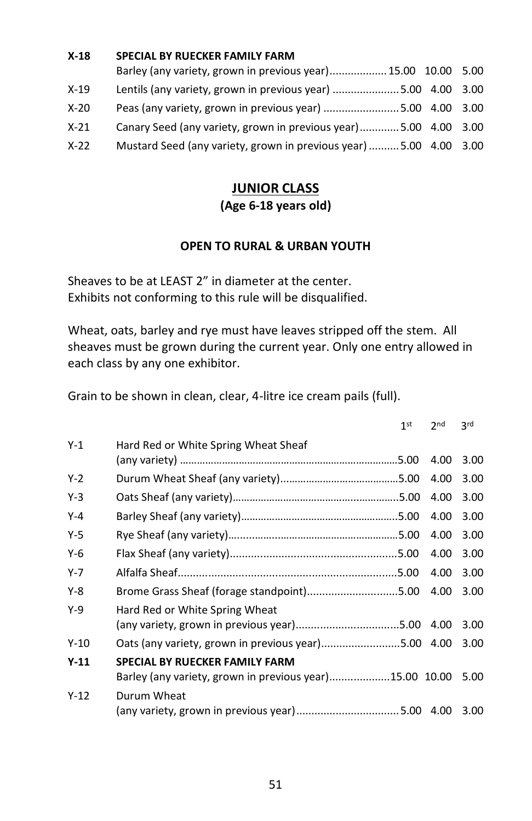| $X-18$ | <b>SPECIAL BY RUECKER FAMILY FARM</b>                              |  |
|--------|--------------------------------------------------------------------|--|
|        | Barley (any variety, grown in previous year) 15.00 10.00 5.00      |  |
| $X-19$ | Lentils (any variety, grown in previous year) 5.00 4.00 3.00       |  |
| $X-20$ | Peas (any variety, grown in previous year) 5.00 4.00 3.00          |  |
| $X-21$ | Canary Seed (any variety, grown in previous year)5.00 4.00 3.00    |  |
| $X-22$ | Mustard Seed (any variety, grown in previous year)  5.00 4.00 3.00 |  |
|        |                                                                    |  |

#### **JUNIOR CLASS (Age 6-18 years old)**

#### **OPEN TO RURAL & URBAN YOUTH**

Sheaves to be at LEAST 2" in diameter at the center. Exhibits not conforming to this rule will be disqualified.

Wheat, oats, barley and rye must have leaves stripped off the stem. All sheaves must be grown during the current year. Only one entry allowed in each class by any one exhibitor.

Grain to be shown in clean, clear, 4-litre ice cream pails (full).

|         |                                                                                                  | 1 <sup>st</sup> | 2 <sub>nd</sub> | 2rd  |
|---------|--------------------------------------------------------------------------------------------------|-----------------|-----------------|------|
| $Y-1$   | Hard Red or White Spring Wheat Sheaf                                                             |                 | 4.00            | 3.00 |
| $Y-2$   |                                                                                                  |                 | 4.00            | 3.00 |
| $Y-3$   |                                                                                                  |                 | 4.00            | 3.00 |
| $Y-4$   |                                                                                                  |                 | 4.00            | 3.00 |
| $Y-5$   |                                                                                                  |                 | 4.00            | 3.00 |
| $Y-6$   |                                                                                                  |                 | 4.00            | 3.00 |
| $Y - 7$ |                                                                                                  |                 | 4.00            | 3.00 |
| $Y-8$   | Brome Grass Sheaf (forage standpoint)5.00                                                        |                 | 4.00            | 3.00 |
| $Y-9$   | Hard Red or White Spring Wheat                                                                   |                 |                 | 3.00 |
| $Y-10$  | Oats (any variety, grown in previous year)5.00 4.00                                              |                 |                 | 3.00 |
| $Y-11$  | <b>SPECIAL BY RUECKER FAMILY FARM</b><br>Barley (any variety, grown in previous year)15.00 10.00 |                 |                 | 5.00 |
| $Y-12$  | Durum Wheat<br>(any variety, grown in previous year)5.00 4.00                                    |                 |                 | 3.00 |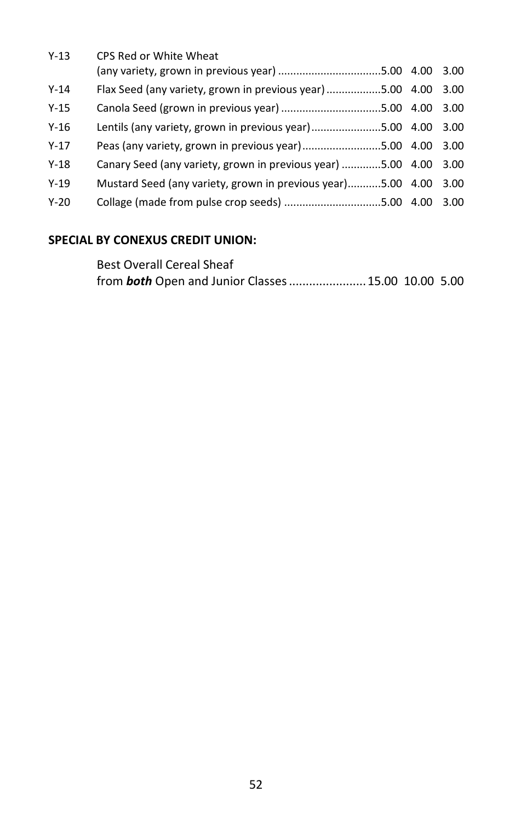| $Y-13$   | CPS Red or White Wheat                                           |  |
|----------|------------------------------------------------------------------|--|
|          | (any variety, grown in previous year) 5.00 4.00 3.00             |  |
| $Y-14$   | Flax Seed (any variety, grown in previous year) 5.00 4.00 3.00   |  |
| $Y-15$   |                                                                  |  |
| $Y-16$   | Lentils (any variety, grown in previous year) 5.00 4.00 3.00     |  |
| $Y - 17$ | Peas (any variety, grown in previous year)5.00 4.00 3.00         |  |
| $Y-18$   | Canary Seed (any variety, grown in previous year) 5.00 4.00 3.00 |  |
| $Y-19$   | Mustard Seed (any variety, grown in previous year)5.00 4.00 3.00 |  |
| $Y-20$   |                                                                  |  |
|          |                                                                  |  |

#### **SPECIAL BY CONEXUS CREDIT UNION:**

| <b>Best Overall Cereal Sheaf</b>                          |  |
|-----------------------------------------------------------|--|
| from <b>both</b> Open and Junior Classes 15.00 10.00 5.00 |  |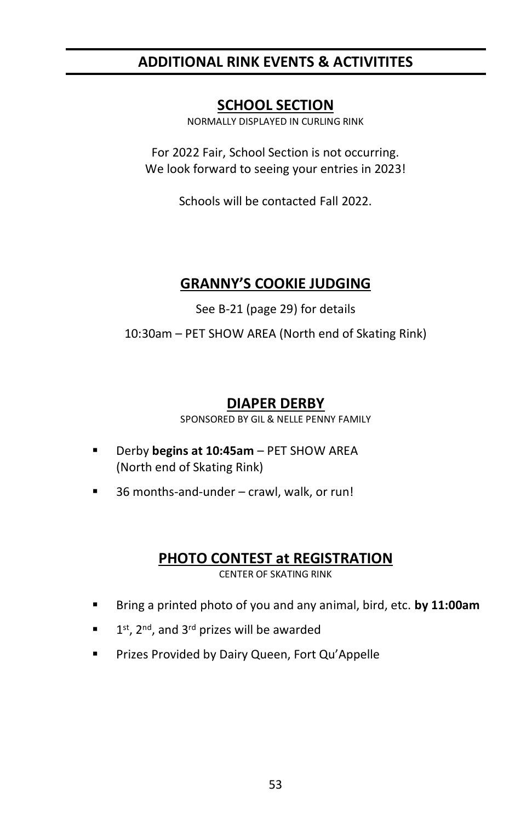# **ADDITIONAL RINK EVENTS & ACTIVITITES**

## **SCHOOL SECTION**

NORMALLY DISPLAYED IN CURLING RINK

For 2022 Fair, School Section is not occurring. We look forward to seeing your entries in 2023!

Schools will be contacted Fall 2022.

# **GRANNY'S COOKIE JUDGING**

See B-21 (page 29) for details

10:30am – PET SHOW AREA (North end of Skating Rink)

# **DIAPER DERBY**

SPONSORED BY GIL & NELLE PENNY FAMILY

- Derby **begins at 10:45am** PET SHOW AREA (North end of Skating Rink)
- 36 months-and-under crawl, walk, or run!

## **PHOTO CONTEST at REGISTRATION**

CENTER OF SKATING RINK

- Bring a printed photo of you and any animal, bird, etc. **by 11:00am**
- 1  $1<sup>st</sup>$ ,  $2<sup>nd</sup>$ , and  $3<sup>rd</sup>$  prizes will be awarded
- Prizes Provided by Dairy Queen, Fort Qu'Appelle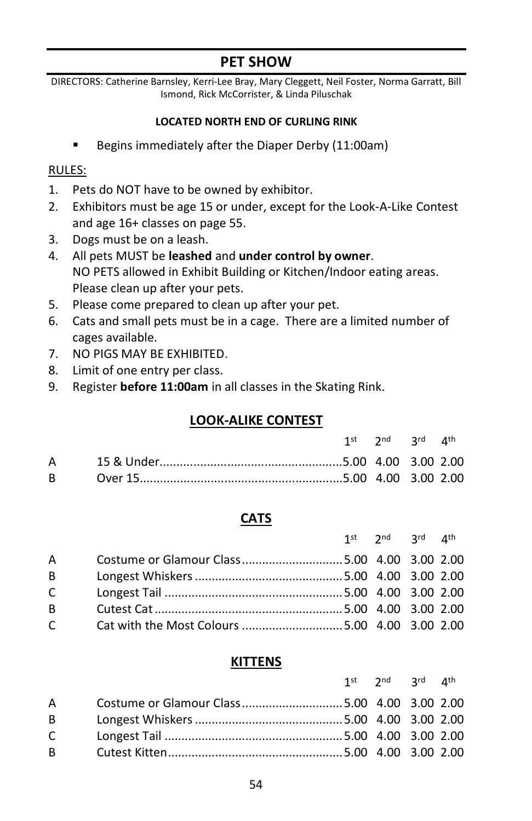# **PET SHOW**

DIRECTORS: Catherine Barnsley, Kerri-Lee Bray, Mary Cleggett, Neil Foster, Norma Garratt, Bill Ismond, Rick McCorrister, & Linda Piluschak

#### **LOCATED NORTH END OF CURLING RINK**

Begins immediately after the Diaper Derby (11:00am)

#### RULES:

- 1. Pets do NOT have to be owned by exhibitor.
- 2. Exhibitors must be age 15 or under, except for the Look-A-Like Contest and age 16+ classes on page 55.
- 3. Dogs must be on a leash.
- 4. All pets MUST be **leashed** and **under control by owner**. NO PETS allowed in Exhibit Building or Kitchen/Indoor eating areas. Please clean up after your pets.
- 5. Please come prepared to clean up after your pet.
- 6. Cats and small pets must be in a cage. There are a limited number of cages available.
- 7. NO PIGS MAY BE EXHIBITED.
- 8. Limit of one entry per class.
- 9. Register **before 11:00am** in all classes in the Skating Rink.

#### **LOOK-ALIKE CONTEST**

|  | 1st 2nd 3rd 4th |  |
|--|-----------------|--|
|  |                 |  |
|  |                 |  |

#### **CATS**

|                |                                             | 1st $2^{nd}$ $2^{rd}$ $4^{th}$ |  |
|----------------|---------------------------------------------|--------------------------------|--|
| $\overline{A}$ | Costume or Glamour Class5.00 4.00 3.00 2.00 |                                |  |
| B              |                                             |                                |  |
| $\mathsf{C}$   |                                             |                                |  |
| B              |                                             |                                |  |
| $\mathsf{C}$   |                                             |                                |  |

#### **KITTENS**

|              |                                             | 1st $2^{nd}$ $2^{rd}$ $4^{th}$ |  |
|--------------|---------------------------------------------|--------------------------------|--|
| $\mathsf{A}$ | Costume or Glamour Class5.00 4.00 3.00 2.00 |                                |  |
| $\mathsf{B}$ |                                             |                                |  |
| $\mathsf{C}$ |                                             |                                |  |
| B.           |                                             |                                |  |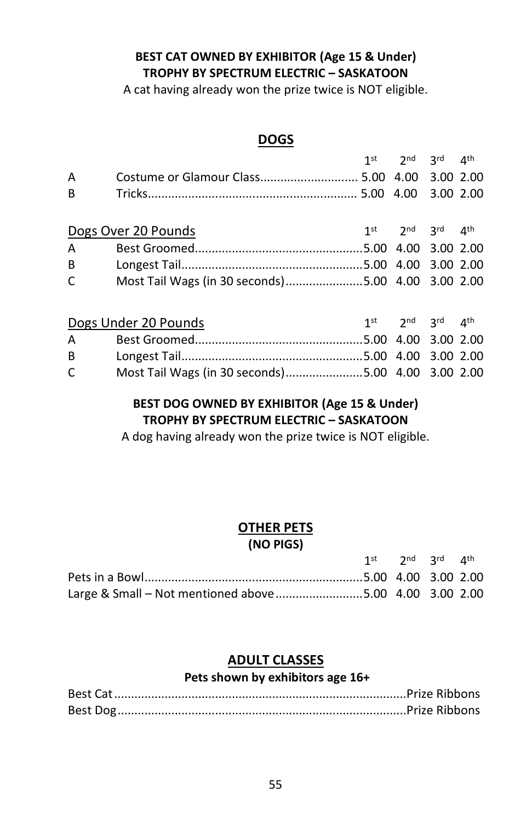#### **BEST CAT OWNED BY EXHIBITOR (Age 15 & Under) TROPHY BY SPECTRUM ELECTRIC – SASKATOON**

A cat having already won the prize twice is NOT eligible.

#### **DOGS**

|                |                                                   | 1st $2^{nd}$ $2^{rd}$ $4^{th}$ |  |
|----------------|---------------------------------------------------|--------------------------------|--|
| A              | Costume or Glamour Class 5.00 4.00 3.00 2.00      |                                |  |
| B              |                                                   |                                |  |
|                |                                                   |                                |  |
|                | Dogs Over 20 Pounds                               | 1st $2^{nd}$ $3^{rd}$ $4^{th}$ |  |
| A              |                                                   |                                |  |
| B <sub>a</sub> |                                                   |                                |  |
| $\mathsf{C}$   | Most Tail Wags (in 30 seconds)5.00 4.00 3.00 2.00 |                                |  |
|                |                                                   |                                |  |
|                | Dogs Under 20 Pounds                              | 1st $2^{nd}$ $2^{rd}$ $4^{th}$ |  |
| A              |                                                   |                                |  |
| $B \sim 1$     |                                                   |                                |  |

#### **BEST DOG OWNED BY EXHIBITOR (Age 15 & Under) TROPHY BY SPECTRUM ELECTRIC – SASKATOON**

C Most Tail Wags (in 30 seconds).......................5.00 4.00 3.00 2.00

A dog having already won the prize twice is NOT eligible.

#### **OTHER PETS**

#### **(NO PIGS)**

|                                                         | 1st $2^{nd}$ $2^{rd}$ $4^{th}$ |  |
|---------------------------------------------------------|--------------------------------|--|
|                                                         |                                |  |
| Large & Small - Not mentioned above 5.00 4.00 3.00 2.00 |                                |  |

#### **ADULT CLASSES**

#### **Pets shown by exhibitors age 16+**